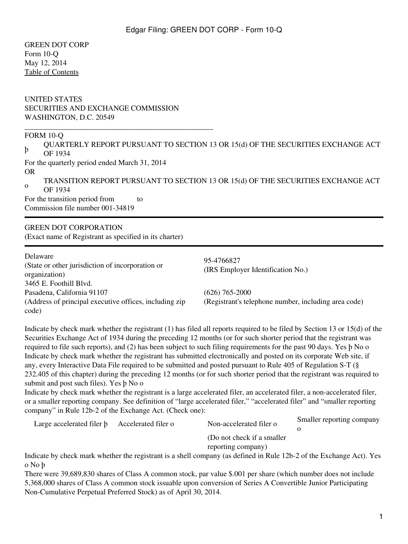GREEN DOT CORP Form 10-Q May 12, 2014 [Table of Contents](#page-2-0)

### UNITED STATES SECURITIES AND EXCHANGE COMMISSION WASHINGTON, D.C. 20549

\_\_\_\_\_\_\_\_\_\_\_\_\_\_\_\_\_\_\_\_\_\_\_\_\_\_\_\_\_\_\_\_\_\_\_\_\_\_\_\_\_\_\_\_\_\_\_\_\_\_

#### FORM 10-Q

þ QUARTERLY REPORT PURSUANT TO SECTION 13 OR 15(d) OF THE SECURITIES EXCHANGE ACT OF 1934 For the quarterly period ended March 31, 2014 OR

o TRANSITION REPORT PURSUANT TO SECTION 13 OR 15(d) OF THE SECURITIES EXCHANGE ACT OF 1934

For the transition period from to Commission file number 001-34819

GREEN DOT CORPORATION (Exact name of Registrant as specified in its charter)

| Delaware                                                | 95-4766827                                           |  |  |
|---------------------------------------------------------|------------------------------------------------------|--|--|
| (State or other jurisdiction of incorporation or        |                                                      |  |  |
| organization)                                           | (IRS Employer Identification No.)                    |  |  |
| 3465 E. Foothill Blvd.                                  |                                                      |  |  |
| Pasadena, California 91107                              | $(626)$ 765-2000                                     |  |  |
| (Address of principal executive offices, including zip) | (Registrant's telephone number, including area code) |  |  |
| code)                                                   |                                                      |  |  |

Indicate by check mark whether the registrant (1) has filed all reports required to be filed by Section 13 or 15(d) of the Securities Exchange Act of 1934 during the preceding 12 months (or for such shorter period that the registrant was required to file such reports), and (2) has been subject to such filing requirements for the past 90 days. Yes þ No o Indicate by check mark whether the registrant has submitted electronically and posted on its corporate Web site, if any, every Interactive Data File required to be submitted and posted pursuant to Rule 405 of Regulation S-T (§ 232.405 of this chapter) during the preceding 12 months (or for such shorter period that the registrant was required to submit and post such files). Yes þ No o

Indicate by check mark whether the registrant is a large accelerated filer, an accelerated filer, a non-accelerated filer, or a smaller reporting company. See definition of "large accelerated filer," "accelerated filer" and "smaller reporting company" in Rule 12b-2 of the Exchange Act. (Check one):

| Large accelerated filer b | Accelerated filer o | Non-accelerated filer o                                                                                              | Smaller reporting company |
|---------------------------|---------------------|----------------------------------------------------------------------------------------------------------------------|---------------------------|
|                           |                     |                                                                                                                      |                           |
|                           |                     | (Do not check if a smaller)                                                                                          |                           |
|                           |                     | reporting company)                                                                                                   |                           |
|                           |                     | Indicate by check mark whether the registrant is a shell company (as defined in Rule 12b-2 of the Exchange Act). Yes |                           |

Indicate by check mark whether the registrant is a shell company (as defined in Rule 12b-2 of the Exchange Act). Yes o No þ

There were 39,689,830 shares of Class A common stock, par value \$.001 per share (which number does not include 5,368,000 shares of Class A common stock issuable upon conversion of Series A Convertible Junior Participating Non-Cumulative Perpetual Preferred Stock) as of April 30, 2014.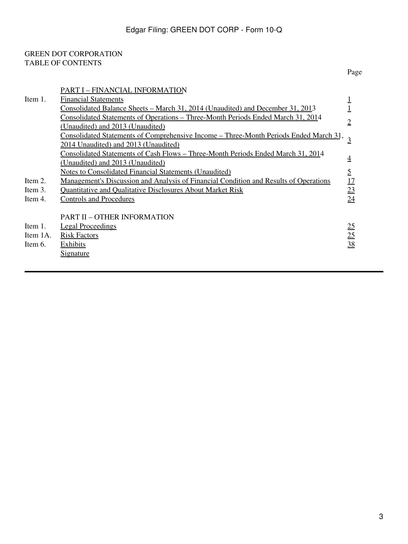### <span id="page-2-0"></span>GREEN DOT CORPORATION TABLE OF CONTENTS

|          | PART I – FINANCIAL INFORMATION                                                               |                |
|----------|----------------------------------------------------------------------------------------------|----------------|
| Item 1.  | <b>Financial Statements</b>                                                                  |                |
|          | <u> Consolidated Balance Sheets – March 31, 2014 (Unaudited) and December 31, 2013</u>       |                |
|          | Consolidated Statements of Operations – Three-Month Periods Ended March 31, 2014             |                |
|          | (Unaudited) and 2013 (Unaudited)                                                             | $\overline{2}$ |
|          | <u>Consolidated Statements of Comprehensive Income - Three-Month Periods Ended March 31</u>  |                |
|          | 2014 Unaudited) and 2013 (Unaudited)                                                         |                |
|          | <u>Consolidated Statements of Cash Flows – Three-Month Periods Ended March 31, 2014</u>      |                |
|          | (Unaudited) and 2013 (Unaudited)                                                             | $\overline{4}$ |
|          | <b>Notes to Consolidated Financial Statements (Unaudited)</b>                                | 5              |
| Item 2.  | <u>Management's Discussion and Analysis of Financial Condition and Results of Operations</u> | 17             |
| Item 3.  | <b>Quantitative and Qualitative Disclosures About Market Risk</b>                            | 23             |
| Item 4.  | <b>Controls and Procedures</b>                                                               | 24             |
|          |                                                                                              |                |
|          | <b>PART II – OTHER INFORMATION</b>                                                           |                |
| Item 1.  | <b>Legal Proceedings</b>                                                                     | 25             |
| Item 1A. | <b>Risk Factors</b>                                                                          | 25             |
| Item 6.  | <b>Exhibits</b>                                                                              | 38             |
|          | <u>Signature</u>                                                                             |                |
|          |                                                                                              |                |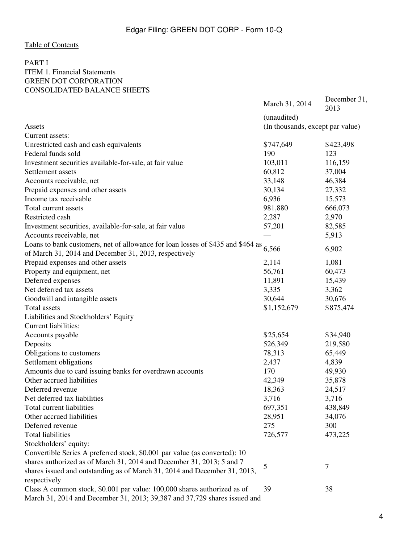### <span id="page-3-1"></span><span id="page-3-0"></span>PART I ITEM 1. Financial Statements GREEN DOT CORPORATION CONSOLIDATED BALANCE SHEETS

|                                                                                 | March 31, 2014                   | December 31,<br>2013 |  |  |
|---------------------------------------------------------------------------------|----------------------------------|----------------------|--|--|
|                                                                                 | (unaudited)                      |                      |  |  |
| Assets                                                                          | (In thousands, except par value) |                      |  |  |
| Current assets:                                                                 |                                  |                      |  |  |
| Unrestricted cash and cash equivalents                                          | \$747,649                        | \$423,498            |  |  |
| Federal funds sold                                                              | 190                              | 123                  |  |  |
| Investment securities available-for-sale, at fair value                         | 103,011                          | 116,159              |  |  |
| Settlement assets                                                               | 60,812                           | 37,004               |  |  |
| Accounts receivable, net                                                        | 33,148                           | 46,384               |  |  |
| Prepaid expenses and other assets                                               | 30,134                           | 27,332               |  |  |
| Income tax receivable                                                           | 6,936                            | 15,573               |  |  |
| Total current assets                                                            | 981,880                          | 666,073              |  |  |
| Restricted cash                                                                 | 2,287                            | 2,970                |  |  |
| Investment securities, available-for-sale, at fair value                        | 57,201                           | 82,585               |  |  |
| Accounts receivable, net                                                        |                                  | 5,913                |  |  |
| Loans to bank customers, net of allowance for loan losses of \$435 and \$464 as |                                  |                      |  |  |
| of March 31, 2014 and December 31, 2013, respectively                           | 6,566                            | 6,902                |  |  |
| Prepaid expenses and other assets                                               | 2,114                            | 1,081                |  |  |
| Property and equipment, net                                                     | 56,761                           | 60,473               |  |  |
| Deferred expenses                                                               | 11,891                           | 15,439               |  |  |
| Net deferred tax assets                                                         | 3,335                            | 3,362                |  |  |
| Goodwill and intangible assets                                                  | 30,644                           | 30,676               |  |  |
| <b>Total assets</b>                                                             | \$1,152,679                      | \$875,474            |  |  |
| Liabilities and Stockholders' Equity                                            |                                  |                      |  |  |
| <b>Current liabilities:</b>                                                     |                                  |                      |  |  |
| Accounts payable                                                                | \$25,654                         | \$34,940             |  |  |
| Deposits                                                                        | 526,349                          | 219,580              |  |  |
| Obligations to customers                                                        | 78,313                           | 65,449               |  |  |
| Settlement obligations                                                          | 2,437                            | 4,839                |  |  |
| Amounts due to card issuing banks for overdrawn accounts                        | 170                              | 49,930               |  |  |
| Other accrued liabilities                                                       | 42,349                           | 35,878               |  |  |
| Deferred revenue                                                                | 18,363                           | 24,517               |  |  |
| Net deferred tax liabilities                                                    | 3,716                            | 3,716                |  |  |
| Total current liabilities                                                       | 697,351                          | 438,849              |  |  |
| Other accrued liabilities                                                       | 28,951                           | 34,076               |  |  |
| Deferred revenue                                                                | 275                              | 300                  |  |  |
| <b>Total liabilities</b>                                                        | 726,577                          | 473,225              |  |  |
| Stockholders' equity:                                                           |                                  |                      |  |  |
| Convertible Series A preferred stock, \$0.001 par value (as converted): 10      |                                  |                      |  |  |
| shares authorized as of March 31, 2014 and December 31, 2013; 5 and 7           |                                  |                      |  |  |
| shares issued and outstanding as of March 31, 2014 and December 31, 2013,       | 5                                | 7                    |  |  |
| respectively                                                                    |                                  |                      |  |  |
| Class A common stock, \$0.001 par value: 100,000 shares authorized as of        | 39                               | 38                   |  |  |
| March 31, 2014 and December 31, 2013; 39,387 and 37,729 shares issued and       |                                  |                      |  |  |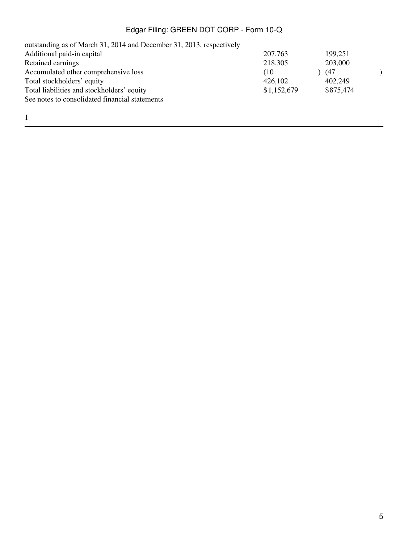| outstanding as of March 31, 2014 and December 31, 2013, respectively |             |           |  |
|----------------------------------------------------------------------|-------------|-----------|--|
| Additional paid-in capital                                           | 207,763     | 199,251   |  |
| <b>Retained earnings</b>                                             | 218,305     | 203,000   |  |
| Accumulated other comprehensive loss                                 | (10)        | (47       |  |
| Total stockholders' equity                                           | 426,102     | 402,249   |  |
| Total liabilities and stockholders' equity                           | \$1,152,679 | \$875,474 |  |
| See notes to consolidated financial statements                       |             |           |  |
|                                                                      |             |           |  |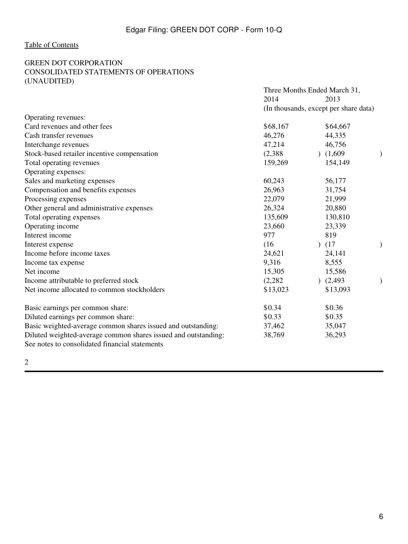### <span id="page-5-0"></span>GREEN DOT CORPORATION CONSOLIDATED STATEMENTS OF OPERATIONS (UNAUDITED)

|                                                                | Three Months Ended March 31, |                                       |               |  |
|----------------------------------------------------------------|------------------------------|---------------------------------------|---------------|--|
|                                                                | 2014                         | 2013                                  |               |  |
|                                                                |                              | (In thousands, except per share data) |               |  |
| Operating revenues:                                            |                              |                                       |               |  |
| Card revenues and other fees                                   | \$68,167                     | \$64,667                              |               |  |
| Cash transfer revenues                                         | 46,276                       | 44,335                                |               |  |
| Interchange revenues                                           | 47,214                       | 46,756                                |               |  |
| Stock-based retailer incentive compensation                    | (2,388)                      | (1,609)                               |               |  |
| Total operating revenues                                       | 159,269                      | 154,149                               |               |  |
| Operating expenses:                                            |                              |                                       |               |  |
| Sales and marketing expenses                                   | 60,243                       | 56,177                                |               |  |
| Compensation and benefits expenses                             | 26,963                       | 31,754                                |               |  |
| Processing expenses                                            | 22,079                       | 21,999                                |               |  |
| Other general and administrative expenses                      | 26,324                       | 20,880                                |               |  |
| Total operating expenses                                       | 135,609                      | 130,810                               |               |  |
| Operating income                                               | 23,660                       | 23,339                                |               |  |
| Interest income                                                | 977                          | 819                                   |               |  |
| Interest expense                                               | (16)                         | (17)                                  |               |  |
| Income before income taxes                                     | 24,621                       | 24,141                                |               |  |
| Income tax expense                                             | 9,316                        | 8,555                                 |               |  |
| Net income                                                     | 15,305                       | 15,586                                |               |  |
| Income attributable to preferred stock                         | (2, 282)                     | (2, 493)                              | $\mathcal{E}$ |  |
| Net income allocated to common stockholders                    | \$13,023                     | \$13,093                              |               |  |
| Basic earnings per common share:                               | \$0.34                       | \$0.36                                |               |  |
| Diluted earnings per common share:                             | \$0.33                       | \$0.35                                |               |  |
| Basic weighted-average common shares issued and outstanding:   | 37,462                       | 35,047                                |               |  |
| Diluted weighted-average common shares issued and outstanding: | 38,769                       | 36,293                                |               |  |
| See notes to consolidated financial statements                 |                              |                                       |               |  |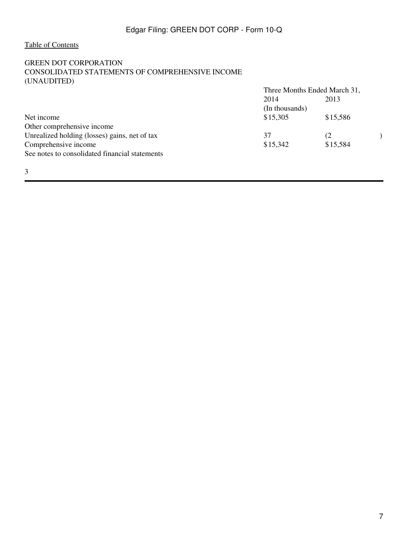3

### <span id="page-6-0"></span>GREEN DOT CORPORATION CONSOLIDATED STATEMENTS OF COMPREHENSIVE INCOME (UNAUDITED)

|                                                | Three Months Ended March 31,<br>2014<br>2013 |          |  |
|------------------------------------------------|----------------------------------------------|----------|--|
|                                                |                                              |          |  |
|                                                | (In thousands)                               |          |  |
| Net income                                     | \$15,305                                     | \$15,586 |  |
| Other comprehensive income                     |                                              |          |  |
| Unrealized holding (losses) gains, net of tax  | 37                                           | (2       |  |
| Comprehensive income                           | \$15,342                                     | \$15,584 |  |
| See notes to consolidated financial statements |                                              |          |  |
|                                                |                                              |          |  |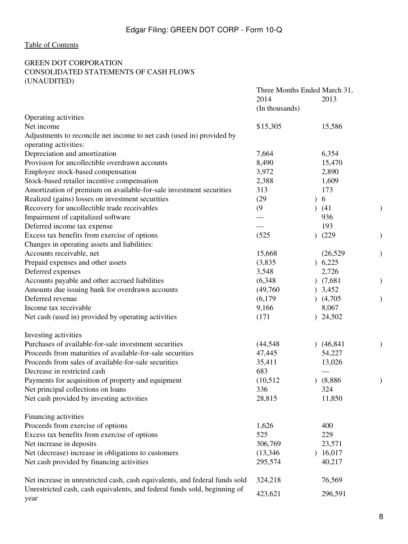### <span id="page-7-0"></span>GREEN DOT CORPORATION CONSOLIDATED STATEMENTS OF CASH FLOWS (UNAUDITED)

|                                                                                   | Three Months Ended March 31, |           |  |
|-----------------------------------------------------------------------------------|------------------------------|-----------|--|
|                                                                                   | 2014                         | 2013      |  |
|                                                                                   | (In thousands)               |           |  |
| Operating activities                                                              |                              |           |  |
| Net income                                                                        | \$15,305                     | 15,586    |  |
| Adjustments to reconcile net income to net cash (used in) provided by             |                              |           |  |
| operating activities:                                                             |                              |           |  |
| Depreciation and amortization                                                     | 7,664                        | 6,354     |  |
| Provision for uncollectible overdrawn accounts                                    | 8,490                        | 15,470    |  |
| Employee stock-based compensation                                                 | 3,972                        | 2,890     |  |
| Stock-based retailer incentive compensation                                       | 2,388                        | 1,609     |  |
| Amortization of premium on available-for-sale investment securities               | 313                          | 173       |  |
| Realized (gains) losses on investment securities                                  | (29)                         | 6         |  |
| Recovery for uncollectible trade receivables                                      | (9)                          | (41)      |  |
| Impairment of capitalized software                                                |                              | 936       |  |
| Deferred income tax expense                                                       |                              | 193       |  |
| Excess tax benefits from exercise of options                                      | (525)                        | (229)     |  |
| Changes in operating assets and liabilities:                                      |                              |           |  |
| Accounts receivable, net                                                          | 15,668                       | (26, 529) |  |
| Prepaid expenses and other assets                                                 | (3,835)                      | 6,225     |  |
| Deferred expenses                                                                 | 3,548                        | 2,726     |  |
| Accounts payable and other accrued liabilities                                    | (6,348)                      | (7,681)   |  |
| Amounts due issuing bank for overdrawn accounts                                   | (49,760)                     | 3,452     |  |
| Deferred revenue                                                                  | (6, 179)                     | (4,705)   |  |
| Income tax receivable                                                             | 9,166                        | 8,067     |  |
| Net cash (used in) provided by operating activities                               | (171)                        | ) 24,502  |  |
| Investing activities                                                              |                              |           |  |
| Purchases of available-for-sale investment securities                             | (44, 548)                    | (46, 841) |  |
| Proceeds from maturities of available-for-sale securities                         | 47,445                       | 54,227    |  |
| Proceeds from sales of available-for-sale securities                              | 35,411                       | 13,026    |  |
| Decrease in restricted cash                                                       | 683                          |           |  |
| Payments for acquisition of property and equipment                                | (10,512)                     | (8,886)   |  |
| Net principal collections on loans                                                | 336                          | 324       |  |
| Net cash provided by investing activities                                         | 28,815                       | 11,850    |  |
| Financing activities                                                              |                              |           |  |
| Proceeds from exercise of options                                                 | 1,626                        | 400       |  |
| Excess tax benefits from exercise of options                                      | 525                          | 229       |  |
| Net increase in deposits                                                          | 306,769                      | 23,571    |  |
| Net (decrease) increase in obligations to customers                               | (13,346)                     | 16,017    |  |
| Net cash provided by financing activities                                         | 295,574                      | 40,217    |  |
| Net increase in unrestricted cash, cash equivalents, and federal funds sold       | 324,218                      | 76,569    |  |
| Unrestricted cash, cash equivalents, and federal funds sold, beginning of<br>year | 423,621                      | 296,591   |  |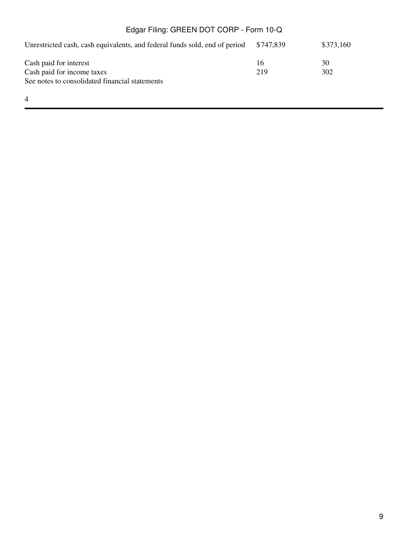| Edgar Filing: GREEN DOT CORP - Form 10-Q                                   |           |           |  |  |  |  |  |
|----------------------------------------------------------------------------|-----------|-----------|--|--|--|--|--|
| Unrestricted cash, cash equivalents, and federal funds sold, end of period | \$747.839 | \$373,160 |  |  |  |  |  |
| Cash paid for interest                                                     | 16        | 30        |  |  |  |  |  |
| Cash paid for income taxes                                                 | 219       | 302       |  |  |  |  |  |
| See notes to consolidated financial statements                             |           |           |  |  |  |  |  |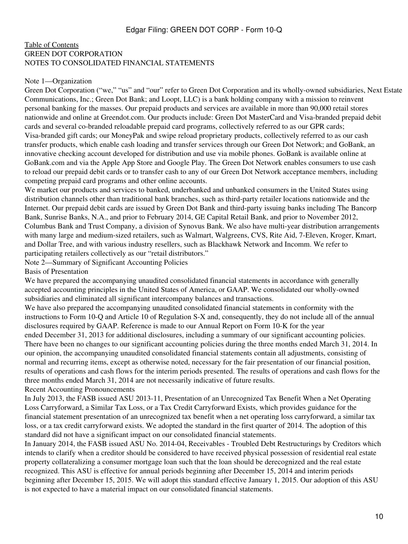#### <span id="page-9-0"></span>[Table of Contents](#page-2-0) GREEN DOT CORPORATION NOTES TO CONSOLIDATED FINANCIAL STATEMENTS

#### Note 1—Organization

Green Dot Corporation ("we," "us" and "our" refer to Green Dot Corporation and its wholly-owned subsidiaries, Next Estate Communications, Inc.; Green Dot Bank; and Loopt, LLC) is a bank holding company with a mission to reinvent personal banking for the masses. Our prepaid products and services are available in more than 90,000 retail stores nationwide and online at Greendot.com. Our products include: Green Dot MasterCard and Visa-branded prepaid debit cards and several co-branded reloadable prepaid card programs, collectively referred to as our GPR cards; Visa-branded gift cards; our MoneyPak and swipe reload proprietary products, collectively referred to as our cash transfer products, which enable cash loading and transfer services through our Green Dot Network; and GoBank, an innovative checking account developed for distribution and use via mobile phones. GoBank is available online at GoBank.com and via the Apple App Store and Google Play. The Green Dot Network enables consumers to use cash to reload our prepaid debit cards or to transfer cash to any of our Green Dot Network acceptance members, including competing prepaid card programs and other online accounts.

We market our products and services to banked, underbanked and unbanked consumers in the United States using distribution channels other than traditional bank branches, such as third-party retailer locations nationwide and the Internet. Our prepaid debit cards are issued by Green Dot Bank and third-party issuing banks including The Bancorp Bank, Sunrise Banks, N.A., and prior to February 2014, GE Capital Retail Bank, and prior to November 2012, Columbus Bank and Trust Company, a division of Synovus Bank. We also have multi-year distribution arrangements with many large and medium-sized retailers, such as Walmart, Walgreens, CVS, Rite Aid, 7-Eleven, Kroger, Kmart, and Dollar Tree, and with various industry resellers, such as Blackhawk Network and Incomm. We refer to participating retailers collectively as our "retail distributors."

Note 2—Summary of Significant Accounting Policies

Basis of Presentation

We have prepared the accompanying unaudited consolidated financial statements in accordance with generally accepted accounting principles in the United States of America, or GAAP. We consolidated our wholly-owned subsidiaries and eliminated all significant intercompany balances and transactions.

We have also prepared the accompanying unaudited consolidated financial statements in conformity with the instructions to Form 10-Q and Article 10 of Regulation S-X and, consequently, they do not include all of the annual disclosures required by GAAP. Reference is made to our Annual Report on Form 10-K for the year ended December 31, 2013 for additional disclosures, including a summary of our significant accounting policies. There have been no changes to our significant accounting policies during the three months ended March 31, 2014. In our opinion, the accompanying unaudited consolidated financial statements contain all adjustments, consisting of normal and recurring items, except as otherwise noted, necessary for the fair presentation of our financial position, results of operations and cash flows for the interim periods presented. The results of operations and cash flows for the three months ended March 31, 2014 are not necessarily indicative of future results.

Recent Accounting Pronouncements

In July 2013, the FASB issued ASU 2013-11, Presentation of an Unrecognized Tax Benefit When a Net Operating Loss Carryforward, a Similar Tax Loss, or a Tax Credit Carryforward Exists, which provides guidance for the financial statement presentation of an unrecognized tax benefit when a net operating loss carryforward, a similar tax loss, or a tax credit carryforward exists. We adopted the standard in the first quarter of 2014. The adoption of this standard did not have a significant impact on our consolidated financial statements.

In January 2014, the FASB issued ASU No. 2014-04, Receivables - Troubled Debt Restructurings by Creditors which intends to clarify when a creditor should be considered to have received physical possession of residential real estate property collateralizing a consumer mortgage loan such that the loan should be derecognized and the real estate recognized. This ASU is effective for annual periods beginning after December 15, 2014 and interim periods beginning after December 15, 2015. We will adopt this standard effective January 1, 2015. Our adoption of this ASU is not expected to have a material impact on our consolidated financial statements.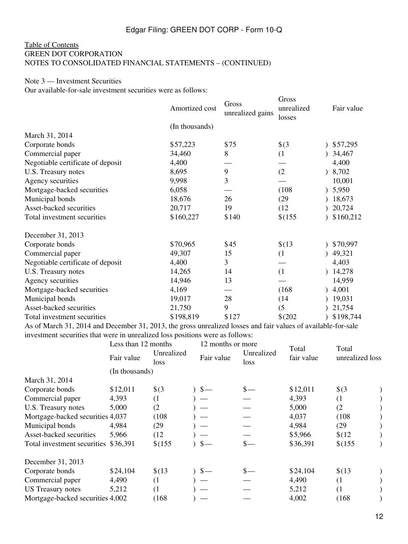### [Table of Contents](#page-2-0) GREEN DOT CORPORATION NOTES TO CONSOLIDATED FINANCIAL STATEMENTS – (CONTINUED)

# Note 3 — Investment Securities

Our available-for-sale investment securities were as follows:

|                                   | Amortized cost | Gross<br>unrealized gains | Gross<br>unrealized<br>losses | Fair value |
|-----------------------------------|----------------|---------------------------|-------------------------------|------------|
|                                   | (In thousands) |                           |                               |            |
| March 31, 2014                    |                |                           |                               |            |
| Corporate bonds                   | \$57,223       | \$75                      | $\frac{1}{2}$                 | \$57,295   |
| Commercial paper                  | 34,460         | 8                         | (1)                           | 34,467     |
| Negotiable certificate of deposit | 4,400          |                           |                               | 4,400      |
| U.S. Treasury notes               | 8,695          | 9                         | (2)                           | 8,702      |
| Agency securities                 | 9,998          | $\overline{3}$            |                               | 10,001     |
| Mortgage-backed securities        | 6,058          |                           | (108)                         | 0, 5,950   |
| Municipal bonds                   | 18,676         | 26                        | (29)                          | 18,673     |
| Asset-backed securities           | 20,717         | 19                        | (12)                          | 20,724     |
| Total investment securities       | \$160,227      | \$140                     | \$(155)                       | \$160,212  |
| December 31, 2013                 |                |                           |                               |            |
| Corporate bonds                   | \$70,965       | \$45                      | \$(13)                        | \$70,997   |
| Commercial paper                  | 49,307         | 15                        | (1)                           | 49,321     |
| Negotiable certificate of deposit | 4,400          | 3                         |                               | 4,403      |
| U.S. Treasury notes               | 14,265         | 14                        | (1)                           | 14,278     |
| Agency securities                 | 14,946         | 13                        |                               | 14,959     |
| Mortgage-backed securities        | 4,169          |                           | (168)                         | 4,001      |
| Municipal bonds                   | 19,017         | 28                        | (14)                          | 19,031     |
| Asset-backed securities           | 21,750         | 9                         | (5)                           | 21,754     |
| Total investment securities       | \$198,819      | \$127                     | $$^{(202)}$                   | \$198,744  |

As of March 31, 2014 and December 31, 2013, the gross unrealized losses and fair values of available-for-sale investment securities that were in unrealized loss positions were as follows:

|                                      | Less than 12 months |                    | 12 months or more |               |                    |                     |                          |  |
|--------------------------------------|---------------------|--------------------|-------------------|---------------|--------------------|---------------------|--------------------------|--|
|                                      | Fair value          | Unrealized<br>loss |                   | Fair value    | Unrealized<br>loss | Total<br>fair value | Total<br>unrealized loss |  |
|                                      | (In thousands)      |                    |                   |               |                    |                     |                          |  |
| March 31, 2014                       |                     |                    |                   |               |                    |                     |                          |  |
| Corporate bonds                      | \$12,011            | $\frac{1}{2}$      |                   | $\frac{1}{2}$ | $\frac{1}{2}$      | \$12,011            | $\frac{1}{2}$            |  |
| Commercial paper                     | 4,393               | (1)                |                   |               |                    | 4,393               | (1)                      |  |
| U.S. Treasury notes                  | 5,000               | (2)                |                   |               |                    | 5,000               | (2)                      |  |
| Mortgage-backed securities 4,037     |                     | (108)              |                   |               |                    | 4,037               | (108)                    |  |
| Municipal bonds                      | 4,984               | (29)               |                   |               |                    | 4,984               | (29)                     |  |
| Asset-backed securities              | 5,966               | (12)               |                   |               |                    | \$5,966             | \$(12)                   |  |
| Total investment securities \$36,391 |                     | \$(155)            |                   | $\frac{1}{2}$ | $s-$               | \$36,391            | \$(155)                  |  |
| December 31, 2013                    |                     |                    |                   |               |                    |                     |                          |  |
| Corporate bonds                      | \$24,104            | \$(13)             |                   | $s-$          | $s-$               | \$24,104            | \$(13)                   |  |
| Commercial paper                     | 4,490               | (1)                |                   |               |                    | 4,490               | (1)                      |  |
| <b>US</b> Treasury notes             | 5,212               | $\left(1\right)$   |                   |               |                    | 5,212               | (1)                      |  |
| Mortgage-backed securities 4,002     |                     | (168)              |                   |               |                    | 4,002               | (168)                    |  |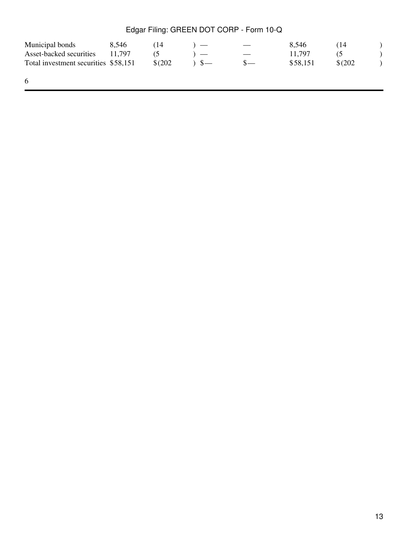| Municipal bonds                      | 8.546  | (14         |               |                          | 8.546    | 14          |  |
|--------------------------------------|--------|-------------|---------------|--------------------------|----------|-------------|--|
| Asset-backed securities              | 11.797 | $\circ$     |               | $\overline{\phantom{a}}$ | 11.797   |             |  |
| Total investment securities \$58,151 |        | $$^{(202)}$ | $\mathcal{S}$ |                          | \$58.151 | $$^{(202)}$ |  |
|                                      |        |             |               |                          |          |             |  |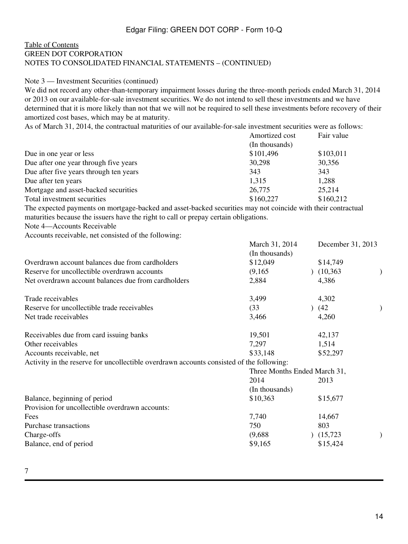### [Table of Contents](#page-2-0) GREEN DOT CORPORATION NOTES TO CONSOLIDATED FINANCIAL STATEMENTS – (CONTINUED)

#### Note 3 — Investment Securities (continued)

We did not record any other-than-temporary impairment losses during the three-month periods ended March 31, 2014 or 2013 on our available-for-sale investment securities. We do not intend to sell these investments and we have determined that it is more likely than not that we will not be required to sell these investments before recovery of their amortized cost bases, which may be at maturity.

As of March 31, 2014, the contractual maturities of our available-for-sale investment securities were as follows:

|                                        | Amortized cost | Fair value |
|----------------------------------------|----------------|------------|
|                                        | (In thousands) |            |
| Due in one year or less                | \$101,496      | \$103,011  |
| Due after one year through five years  | 30,298         | 30,356     |
| Due after five years through ten years | 343            | 343        |
| Due after ten years                    | 1,315          | 1,288      |
| Mortgage and asset-backed securities   | 26,775         | 25,214     |
| Total investment securities            | \$160,227      | \$160,212  |

The expected payments on mortgage-backed and asset-backed securities may not coincide with their contractual maturities because the issuers have the right to call or prepay certain obligations.

Note 4—Accounts Receivable

Accounts receivable, net consisted of the following:

|                                                                                          | March 31, 2014               | December $31, 2013$ |               |
|------------------------------------------------------------------------------------------|------------------------------|---------------------|---------------|
|                                                                                          | (In thousands)               |                     |               |
| Overdrawn account balances due from cardholders                                          | \$12,049                     | \$14,749            |               |
| Reserve for uncollectible overdrawn accounts                                             | (9,165)                      | (10, 363)           | $\mathcal{)}$ |
| Net overdrawn account balances due from cardholders                                      | 2,884                        | 4,386               |               |
| Trade receivables                                                                        | 3,499                        | 4,302               |               |
| Reserve for uncollectible trade receivables                                              | (33)                         | (42)                | )             |
| Net trade receivables                                                                    | 3,466                        | 4,260               |               |
| Receivables due from card issuing banks                                                  | 19,501                       | 42,137              |               |
| Other receivables                                                                        | 7,297                        | 1,514               |               |
| Accounts receivable, net                                                                 | \$33,148                     | \$52,297            |               |
| Activity in the reserve for uncollectible overdrawn accounts consisted of the following: |                              |                     |               |
|                                                                                          | Three Months Ended March 31, |                     |               |
|                                                                                          | 2014                         | 2013                |               |
|                                                                                          | (In thousands)               |                     |               |
| Balance, beginning of period                                                             | \$10,363                     | \$15,677            |               |
| Provision for uncollectible overdrawn accounts:                                          |                              |                     |               |
| Fees                                                                                     | 7,740                        | 14,667              |               |
| Purchase transactions                                                                    | 750                          | 803                 |               |
| Charge-offs                                                                              | (9,688)                      | (15,723)            |               |
| Balance, end of period                                                                   | \$9,165                      | \$15,424            |               |
|                                                                                          |                              |                     |               |

M 1, 21, 2014 D 1, 21, 2012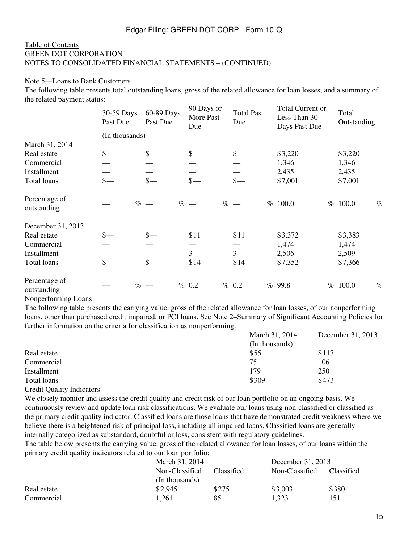#### [Table of Contents](#page-2-0) GREEN DOT CORPORATION NOTES TO CONSOLIDATED FINANCIAL STATEMENTS – (CONTINUED)

#### Note 5—Loans to Bank Customers

The following table presents total outstanding loans, gross of the related allowance for loan losses, and a summary of the related payment status:

|                              | 30-59 Days<br>Past Due      | 60-89 Days<br>Past Due            | 90 Days or<br>More Past<br>Due | <b>Total Past</b><br>Due | Total Current or<br>Less Than 30<br>Days Past Due | Total<br>Outstanding |
|------------------------------|-----------------------------|-----------------------------------|--------------------------------|--------------------------|---------------------------------------------------|----------------------|
|                              | (In thousands)              |                                   |                                |                          |                                                   |                      |
| March 31, 2014               |                             |                                   |                                |                          |                                                   |                      |
| Real estate                  | $\frac{\ }{s-}$             | $\frac{1}{2}$                     | $\frac{\S}{\S}$                | $\frac{\S}{\S}$          | \$3,220                                           | \$3,220              |
| Commercial                   |                             |                                   |                                |                          | 1,346                                             | 1,346                |
| Installment                  |                             |                                   |                                |                          | 2,435                                             | 2,435                |
| Total loans                  | $\frac{\text{S}}{\text{S}}$ | $\frac{\mathcal{S}}{\mathcal{S}}$ | $\frac{\text{S}}{\text{}}$     | $\frac{1}{2}$            | \$7,001                                           | \$7,001              |
| Percentage of<br>outstanding |                             | $% -$<br>$\%$                     |                                | $% -$                    | % 100.0                                           | $\%$<br>% 100.0      |
| December 31, 2013            |                             |                                   |                                |                          |                                                   |                      |
| Real estate                  | $\frac{\ }{s-}$             | $s-$                              | \$11                           | \$11                     | \$3,372                                           | \$3,383              |
| Commercial                   |                             |                                   |                                |                          | 1,474                                             | 1,474                |
| Installment                  |                             |                                   | $\overline{3}$                 | $\overline{3}$           | 2,506                                             | 2,509                |
| Total loans                  | $\frac{\ }{s-}$             | $\frac{\mathcal{S}}{\mathcal{S}}$ | \$14                           | \$14                     | \$7,352                                           | \$7,366              |
| Percentage of<br>outstanding | $\%$                        |                                   | % 0.2                          | % 0.2                    | 99.8<br>$\%$                                      | $\%$<br>% 100.0      |

Nonperforming Loans

The following table presents the carrying value, gross of the related allowance for loan losses, of our nonperforming loans, other than purchased credit impaired, or PCI loans. See Note 2–Summary of Significant Accounting Policies for further information on the criteria for classification as nonperforming.

|             | March 31, 2014 | December 31, 2013 |
|-------------|----------------|-------------------|
|             | (In thousands) |                   |
| Real estate | \$55           | \$117             |
| Commercial  | 75             | 106               |
| Installment | 179            | 250               |
| Total loans | \$309          | \$473             |

Credit Quality Indicators

We closely monitor and assess the credit quality and credit risk of our loan portfolio on an ongoing basis. We continuously review and update loan risk classifications. We evaluate our loans using non-classified or classified as the primary credit quality indicator. Classified loans are those loans that have demonstrated credit weakness where we believe there is a heightened risk of principal loss, including all impaired loans. Classified loans are generally internally categorized as substandard, doubtful or loss, consistent with regulatory guidelines.

The table below presents the carrying value, gross of the related allowance for loan losses, of our loans within the primary credit quality indicators related to our loan portfolio:

|             | March 31, 2014 |                   |                | December 31, 2013 |  |  |
|-------------|----------------|-------------------|----------------|-------------------|--|--|
|             | Non-Classified | <b>Classified</b> | Non-Classified | Classified        |  |  |
|             | (In thousands) |                   |                |                   |  |  |
| Real estate | \$2,945        | \$275             | \$3,003        | \$380             |  |  |
| Commercial  | 1.261          | 85                | 1,323          | 151               |  |  |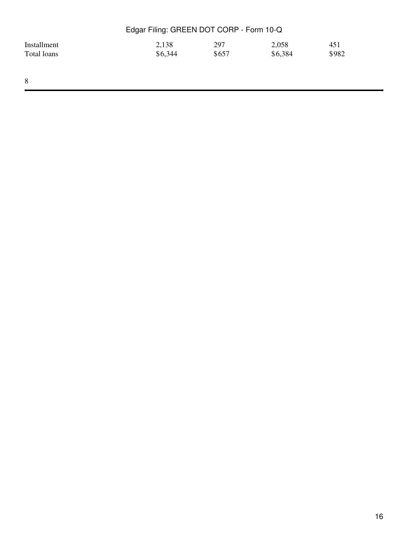| Edgar Filing: GREEN DOT CORP - Form 10-Q |         |       |         |       |  |
|------------------------------------------|---------|-------|---------|-------|--|
| Installment                              | 2,138   | 297   | 2,058   | 451   |  |
| Total loans                              | \$6,344 | \$657 | \$6,384 | \$982 |  |
|                                          |         |       |         |       |  |
|                                          |         |       |         |       |  |
| 8                                        |         |       |         |       |  |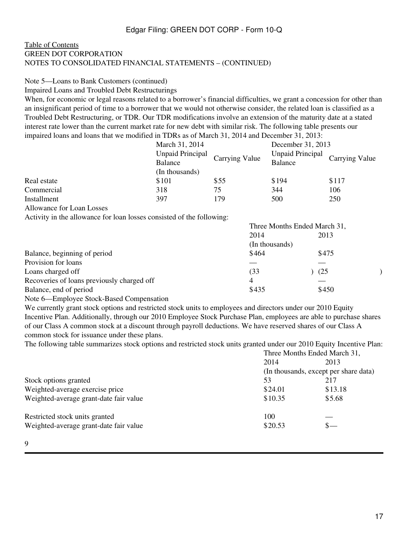#### [Table of Contents](#page-2-0) GREEN DOT CORPORATION NOTES TO CONSOLIDATED FINANCIAL STATEMENTS – (CONTINUED)

# Note 5—Loans to Bank Customers (continued)

Impaired Loans and Troubled Debt Restructurings

When, for economic or legal reasons related to a borrower's financial difficulties, we grant a concession for other than an insignificant period of time to a borrower that we would not otherwise consider, the related loan is classified as a Troubled Debt Restructuring, or TDR. Our TDR modifications involve an extension of the maturity date at a stated interest rate lower than the current market rate for new debt with similar risk. The following table presents our impaired loans and loans that we modified in TDRs as of March 31, 2014 and December 31, 2013:

|             | March 31, 2014          |                | December 31, 2013               |       |
|-------------|-------------------------|----------------|---------------------------------|-------|
|             | <b>Unpaid Principal</b> | Carrying Value | Unpaid Principal Carrying Value |       |
|             | Balance                 |                | <b>Balance</b>                  |       |
|             | (In thousands)          |                |                                 |       |
| Real estate | \$101                   | \$55           | \$194                           | \$117 |
| Commercial  | 318                     | 75             | 344                             | 106   |
| Installment | 397                     | 179            | 500                             | 250   |

Allowance for Loan Losses

Activity in the allowance for loan losses consisted of the following:

|                                            | Three Months Ended March 31, |       |  |
|--------------------------------------------|------------------------------|-------|--|
|                                            | 2014                         | 2013  |  |
|                                            | (In thousands)               |       |  |
| Balance, beginning of period               | \$464                        | \$475 |  |
| Provision for loans                        |                              |       |  |
| Loans charged off                          | (33                          | (25)  |  |
| Recoveries of loans previously charged off | 4                            |       |  |
| Balance, end of period                     | \$435                        | \$450 |  |
|                                            |                              |       |  |

Note 6—Employee Stock-Based Compensation

We currently grant stock options and restricted stock units to employees and directors under our 2010 Equity Incentive Plan. Additionally, through our 2010 Employee Stock Purchase Plan, employees are able to purchase shares of our Class A common stock at a discount through payroll deductions. We have reserved shares of our Class A common stock for issuance under these plans.

The following table summarizes stock options and restricted stock units granted under our 2010 Equity Incentive Plan:

|                                        | Three Months Ended March 31,          |         |  |
|----------------------------------------|---------------------------------------|---------|--|
|                                        | 2014<br>2013                          |         |  |
|                                        | (In thousands, except per share data) |         |  |
| Stock options granted                  | 53                                    | 217     |  |
| Weighted-average exercise price        | \$24.01                               | \$13.18 |  |
| Weighted-average grant-date fair value | \$10.35                               | \$5.68  |  |
| Restricted stock units granted         | 100                                   |         |  |
| Weighted-average grant-date fair value | \$20.53                               | $S-$    |  |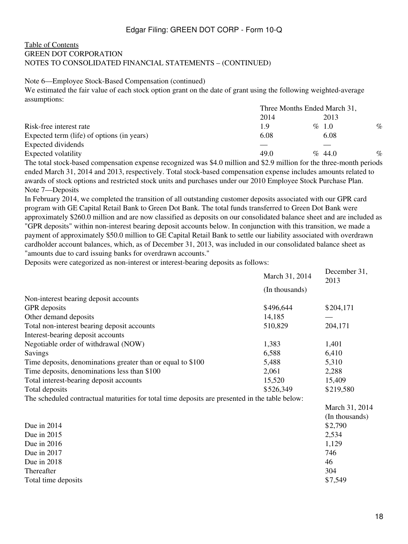#### [Table of Contents](#page-2-0) GREEN DOT CORPORATION NOTES TO CONSOLIDATED FINANCIAL STATEMENTS – (CONTINUED)

#### Note 6—Employee Stock-Based Compensation (continued)

We estimated the fair value of each stock option grant on the date of grant using the following weighted-average assumptions:

|                                            | Three Months Ended March 31, |           |      |
|--------------------------------------------|------------------------------|-----------|------|
|                                            | 2014                         | 2013      |      |
| Risk-free interest rate                    | 1.9                          | $\%$ 1.0  | $\%$ |
| Expected term (life) of options (in years) | 6.08                         | 6.08      |      |
| Expected dividends                         |                              |           |      |
| Expected volatility                        | 49.0                         | $\%$ 44.0 | $\%$ |

The total stock-based compensation expense recognized was \$4.0 million and \$2.9 million for the three-month periods ended March 31, 2014 and 2013, respectively. Total stock-based compensation expense includes amounts related to awards of stock options and restricted stock units and purchases under our 2010 Employee Stock Purchase Plan. Note 7—Deposits

In February 2014, we completed the transition of all outstanding customer deposits associated with our GPR card program with GE Capital Retail Bank to Green Dot Bank. The total funds transferred to Green Dot Bank were approximately \$260.0 million and are now classified as deposits on our consolidated balance sheet and are included as "GPR deposits" within non-interest bearing deposit accounts below. In conjunction with this transition, we made a payment of approximately \$50.0 million to GE Capital Retail Bank to settle our liability associated with overdrawn cardholder account balances, which, as of December 31, 2013, was included in our consolidated balance sheet as "amounts due to card issuing banks for overdrawn accounts."

Deposits were categorized as non-interest or interest-bearing deposits as follows:

|                                                                                                | March 31, 2014 | December 31,<br>2013 |
|------------------------------------------------------------------------------------------------|----------------|----------------------|
|                                                                                                | (In thousands) |                      |
| Non-interest bearing deposit accounts                                                          |                |                      |
| <b>GPR</b> deposits                                                                            | \$496,644      | \$204,171            |
| Other demand deposits                                                                          | 14,185         |                      |
| Total non-interest bearing deposit accounts                                                    | 510,829        | 204,171              |
| Interest-bearing deposit accounts                                                              |                |                      |
| Negotiable order of withdrawal (NOW)                                                           | 1,383          | 1,401                |
| Savings                                                                                        | 6,588          | 6,410                |
| Time deposits, denominations greater than or equal to \$100                                    | 5,488          | 5,310                |
| Time deposits, denominations less than \$100                                                   | 2,061          | 2,288                |
| Total interest-bearing deposit accounts                                                        | 15,520         | 15,409               |
| Total deposits                                                                                 | \$526,349      | \$219,580            |
| The scheduled contractual maturities for total time deposits are presented in the table below: |                |                      |
|                                                                                                |                | March 31, 2014       |
|                                                                                                |                | (In thousands)       |
| Due in 2014                                                                                    |                | \$2,790              |
| Due in 2015                                                                                    |                | 2,534                |
| Due in 2016                                                                                    |                | 1,129                |
| Due in 2017                                                                                    |                | 746                  |
| Due in 2018                                                                                    |                | 46                   |
| Thereafter                                                                                     |                | 304                  |
|                                                                                                |                |                      |

Total time deposits  $$7,549$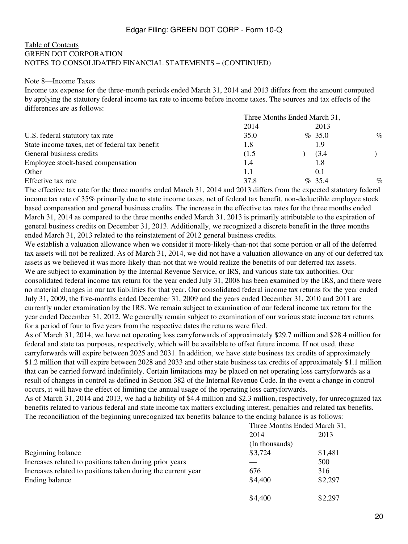#### [Table of Contents](#page-2-0) GREEN DOT CORPORATION NOTES TO CONSOLIDATED FINANCIAL STATEMENTS – (CONTINUED)

#### Note 8—Income Taxes

Income tax expense for the three-month periods ended March 31, 2014 and 2013 differs from the amount computed by applying the statutory federal income tax rate to income before income taxes. The sources and tax effects of the differences are as follows:

|                                                | Three Months Ended March 31, |  |           |      |
|------------------------------------------------|------------------------------|--|-----------|------|
|                                                | 2014                         |  | 2013      |      |
| U.S. federal statutory tax rate                | 35.0                         |  | $\%$ 35.0 | $\%$ |
| State income taxes, net of federal tax benefit | 1.8                          |  | 1.9       |      |
| General business credits                       | (1.5)                        |  | (3.4)     |      |
| Employee stock-based compensation              | 1.4                          |  | 1.8       |      |
| Other                                          | 1.1                          |  | 0.1       |      |
| Effective tax rate                             | 37.8                         |  | $\%$ 35.4 | $\%$ |

The effective tax rate for the three months ended March 31, 2014 and 2013 differs from the expected statutory federal income tax rate of 35% primarily due to state income taxes, net of federal tax benefit, non-deductible employee stock based compensation and general business credits. The increase in the effective tax rates for the three months ended March 31, 2014 as compared to the three months ended March 31, 2013 is primarily attributable to the expiration of general business credits on December 31, 2013. Additionally, we recognized a discrete benefit in the three months ended March 31, 2013 related to the reinstatement of 2012 general business credits.

We establish a valuation allowance when we consider it more-likely-than-not that some portion or all of the deferred tax assets will not be realized. As of March 31, 2014, we did not have a valuation allowance on any of our deferred tax assets as we believed it was more-likely-than-not that we would realize the benefits of our deferred tax assets. We are subject to examination by the Internal Revenue Service, or IRS, and various state tax authorities. Our consolidated federal income tax return for the year ended July 31, 2008 has been examined by the IRS, and there were no material changes in our tax liabilities for that year. Our consolidated federal income tax returns for the year ended July 31, 2009, the five-months ended December 31, 2009 and the years ended December 31, 2010 and 2011 are currently under examination by the IRS. We remain subject to examination of our federal income tax return for the year ended December 31, 2012. We generally remain subject to examination of our various state income tax returns for a period of four to five years from the respective dates the returns were filed.

As of March 31, 2014, we have net operating loss carryforwards of approximately \$29.7 million and \$28.4 million for federal and state tax purposes, respectively, which will be available to offset future income. If not used, these carryforwards will expire between 2025 and 2031. In addition, we have state business tax credits of approximately \$1.2 million that will expire between 2028 and 2033 and other state business tax credits of approximately \$1.1 million that can be carried forward indefinitely. Certain limitations may be placed on net operating loss carryforwards as a result of changes in control as defined in Section 382 of the Internal Revenue Code. In the event a change in control occurs, it will have the effect of limiting the annual usage of the operating loss carryforwards.

As of March 31, 2014 and 2013, we had a liability of \$4.4 million and \$2.3 million, respectively, for unrecognized tax benefits related to various federal and state income tax matters excluding interest, penalties and related tax benefits. The reconciliation of the beginning unrecognized tax benefits balance to the ending balance is as follows:

|                                                              | Three Months Ended March 31, |         |  |
|--------------------------------------------------------------|------------------------------|---------|--|
|                                                              | 2014                         | 2013    |  |
|                                                              | (In thousands)               |         |  |
| Beginning balance                                            | \$3,724                      | \$1,481 |  |
| Increases related to positions taken during prior years      |                              | 500     |  |
| Increases related to positions taken during the current year | 676                          | 316     |  |
| Ending balance                                               | \$4,400                      | \$2,297 |  |
|                                                              | \$4,400                      | \$2,297 |  |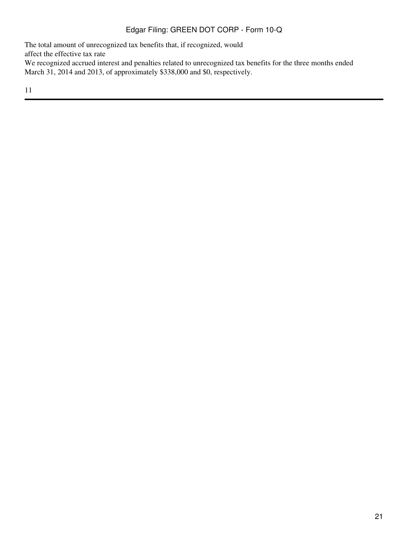The total amount of unrecognized tax benefits that, if recognized, would affect the effective tax rate We recognized accrued interest and penalties related to unrecognized tax benefits for the three months ended March 31, 2014 and 2013, of approximately \$338,000 and \$0, respectively.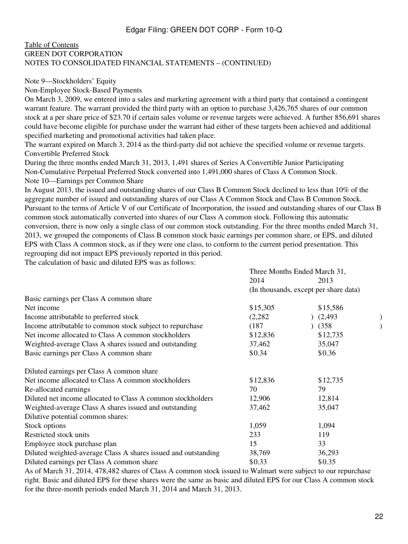#### [Table of Contents](#page-2-0) GREEN DOT CORPORATION NOTES TO CONSOLIDATED FINANCIAL STATEMENTS – (CONTINUED)

#### Note 9—Stockholders' Equity

Non-Employee Stock-Based Payments

On March 3, 2009, we entered into a sales and marketing agreement with a third party that contained a contingent warrant feature. The warrant provided the third party with an option to purchase 3,426,765 shares of our common stock at a per share price of \$23.70 if certain sales volume or revenue targets were achieved. A further 856,691 shares could have become eligible for purchase under the warrant had either of these targets been achieved and additional specified marketing and promotional activities had taken place.

The warrant expired on March 3, 2014 as the third-party did not achieve the specified volume or revenue targets. Convertible Preferred Stock

During the three months ended March 31, 2013, 1,491 shares of Series A Convertible Junior Participating Non-Cumulative Perpetual Preferred Stock converted into 1,491,000 shares of Class A Common Stock. Note 10—Earnings per Common Share

In August 2013, the issued and outstanding shares of our Class B Common Stock declined to less than 10% of the aggregate number of issued and outstanding shares of our Class A Common Stock and Class B Common Stock. Pursuant to the terms of Article V of our Certificate of Incorporation, the issued and outstanding shares of our Class B common stock automatically converted into shares of our Class A common stock. Following this automatic conversion, there is now only a single class of our common stock outstanding. For the three months ended March 31, 2013, we grouped the components of Class B common stock basic earnings per common share, or EPS, and diluted EPS with Class A common stock, as if they were one class, to conform to the current period presentation. This regrouping did not impact EPS previously reported in this period.

The calculation of basic and diluted EPS was as follows:

|                                                                | Three Months Ended March 31, |                                       |  |
|----------------------------------------------------------------|------------------------------|---------------------------------------|--|
|                                                                | 2014                         | 2013                                  |  |
|                                                                |                              | (In thousands, except per share data) |  |
| Basic earnings per Class A common share                        |                              |                                       |  |
| Net income                                                     | \$15,305                     | \$15,586                              |  |
| Income attributable to preferred stock                         | (2, 282)                     | (2, 493)                              |  |
| Income attributable to common stock subject to repurchase      | (187)                        | (358)                                 |  |
| Net income allocated to Class A common stockholders            | \$12,836                     | \$12,735                              |  |
| Weighted-average Class A shares issued and outstanding         | 37,462                       | 35,047                                |  |
| Basic earnings per Class A common share                        | \$0.34                       | \$0.36                                |  |
| Diluted earnings per Class A common share                      |                              |                                       |  |
| Net income allocated to Class A common stockholders            | \$12,836                     | \$12,735                              |  |
| Re-allocated earnings                                          | 70                           | 79                                    |  |
| Diluted net income allocated to Class A common stockholders    | 12,906                       | 12,814                                |  |
| Weighted-average Class A shares issued and outstanding         | 37,462                       | 35,047                                |  |
| Dilutive potential common shares:                              |                              |                                       |  |
| Stock options                                                  | 1,059                        | 1,094                                 |  |
| Restricted stock units                                         | 233                          | 119                                   |  |
| Employee stock purchase plan                                   | 15                           | 33                                    |  |
| Diluted weighted-average Class A shares issued and outstanding | 38,769                       | 36,293                                |  |
| Diluted earnings per Class A common share                      | \$0.33                       | \$0.35                                |  |
|                                                                |                              |                                       |  |

As of March 31, 2014, 478,482 shares of Class A common stock issued to Walmart were subject to our repurchase right. Basic and diluted EPS for these shares were the same as basic and diluted EPS for our Class A common stock for the three-month periods ended March 31, 2014 and March 31, 2013.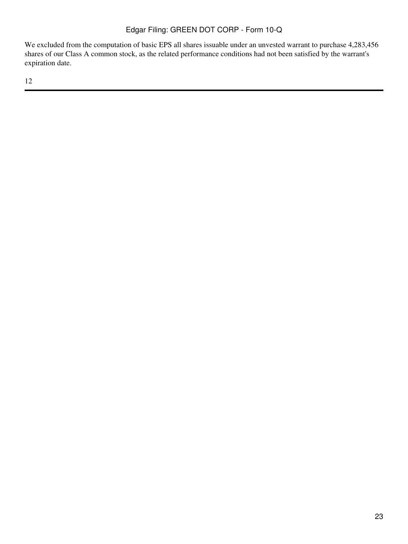We excluded from the computation of basic EPS all shares issuable under an unvested warrant to purchase 4,283,456 shares of our Class A common stock, as the related performance conditions had not been satisfied by the warrant's expiration date.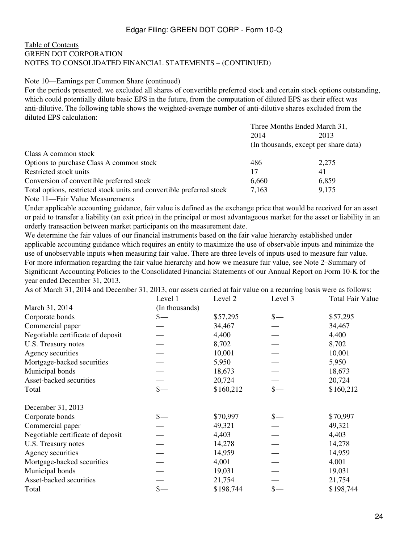#### [Table of Contents](#page-2-0) GREEN DOT CORPORATION NOTES TO CONSOLIDATED FINANCIAL STATEMENTS – (CONTINUED)

#### Note 10—Earnings per Common Share (continued)

For the periods presented, we excluded all shares of convertible preferred stock and certain stock options outstanding, which could potentially dilute basic EPS in the future, from the computation of diluted EPS as their effect was anti-dilutive. The following table shows the weighted-average number of anti-dilutive shares excluded from the diluted EPS calculation:

|                                                                       | Three Months Ended March 31, |                                       |
|-----------------------------------------------------------------------|------------------------------|---------------------------------------|
|                                                                       | 2014                         | 2013                                  |
|                                                                       |                              | (In thousands, except per share data) |
| Class A common stock                                                  |                              |                                       |
| Options to purchase Class A common stock                              | 486                          | 2.275                                 |
| Restricted stock units                                                | 17                           | 41                                    |
| Conversion of convertible preferred stock                             | 6,660                        | 6,859                                 |
| Total options, restricted stock units and convertible preferred stock | 7,163                        | 9,175                                 |
| Note 11—Fair Value Measurements                                       |                              |                                       |

Under applicable accounting guidance, fair value is defined as the exchange price that would be received for an asset or paid to transfer a liability (an exit price) in the principal or most advantageous market for the asset or liability in an orderly transaction between market participants on the measurement date.

We determine the fair values of our financial instruments based on the fair value hierarchy established under applicable accounting guidance which requires an entity to maximize the use of observable inputs and minimize the use of unobservable inputs when measuring fair value. There are three levels of inputs used to measure fair value. For more information regarding the fair value hierarchy and how we measure fair value, see Note 2–Summary of Significant Accounting Policies to the Consolidated Financial Statements of our Annual Report on Form 10-K for the year ended December 31, 2013.

As of March 31, 2014 and December 31, 2013, our assets carried at fair value on a recurring basis were as follows:

|                                   | Level 1                           | Level 2   | Level 3         | <b>Total Fair Value</b> |
|-----------------------------------|-----------------------------------|-----------|-----------------|-------------------------|
| March 31, 2014                    | (In thousands)                    |           |                 |                         |
| Corporate bonds                   | $\frac{\S}{\S}$                   | \$57,295  | $\frac{1}{2}$   | \$57,295                |
| Commercial paper                  |                                   | 34,467    |                 | 34,467                  |
| Negotiable certificate of deposit |                                   | 4,400     |                 | 4,400                   |
| U.S. Treasury notes               |                                   | 8,702     |                 | 8,702                   |
| Agency securities                 |                                   | 10,001    |                 | 10,001                  |
| Mortgage-backed securities        |                                   | 5,950     |                 | 5,950                   |
| Municipal bonds                   |                                   | 18,673    |                 | 18,673                  |
| Asset-backed securities           |                                   | 20,724    |                 | 20,724                  |
| Total                             | $\frac{\mathcal{S}}{\mathcal{S}}$ | \$160,212 | $\frac{\ }{s-}$ | \$160,212               |
| December 31, 2013                 |                                   |           |                 |                         |
| Corporate bonds                   |                                   | \$70,997  | $\frac{\ }{s-}$ | \$70,997                |
| Commercial paper                  |                                   | 49,321    |                 | 49,321                  |
| Negotiable certificate of deposit |                                   | 4,403     |                 | 4,403                   |
| U.S. Treasury notes               |                                   | 14,278    |                 | 14,278                  |
| Agency securities                 |                                   | 14,959    |                 | 14,959                  |
| Mortgage-backed securities        |                                   | 4,001     |                 | 4,001                   |
| Municipal bonds                   |                                   | 19,031    |                 | 19,031                  |
| Asset-backed securities           |                                   | 21,754    |                 | 21,754                  |
| Total                             | $\frac{1}{2}$                     | \$198,744 | $\mathsf{\$}$   | \$198,744               |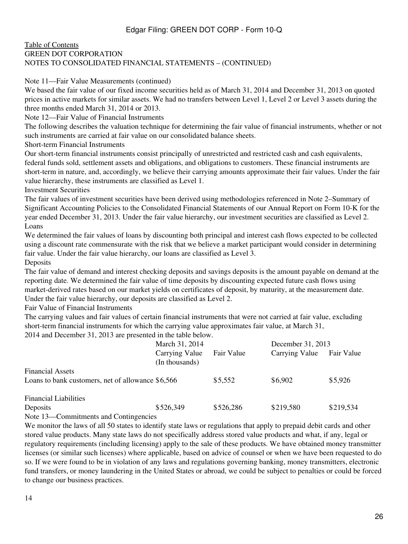#### [Table of Contents](#page-2-0) GREEN DOT CORPORATION NOTES TO CONSOLIDATED FINANCIAL STATEMENTS – (CONTINUED)

Note 11—Fair Value Measurements (continued)

We based the fair value of our fixed income securities held as of March 31, 2014 and December 31, 2013 on quoted prices in active markets for similar assets. We had no transfers between Level 1, Level 2 or Level 3 assets during the three months ended March 31, 2014 or 2013.

Note 12—Fair Value of Financial Instruments

The following describes the valuation technique for determining the fair value of financial instruments, whether or not such instruments are carried at fair value on our consolidated balance sheets.

Short-term Financial Instruments

Our short-term financial instruments consist principally of unrestricted and restricted cash and cash equivalents, federal funds sold, settlement assets and obligations, and obligations to customers. These financial instruments are short-term in nature, and, accordingly, we believe their carrying amounts approximate their fair values. Under the fair value hierarchy, these instruments are classified as Level 1.

Investment Securities

The fair values of investment securities have been derived using methodologies referenced in Note 2–Summary of Significant Accounting Policies to the Consolidated Financial Statements of our Annual Report on Form 10-K for the year ended December 31, 2013. Under the fair value hierarchy, our investment securities are classified as Level 2. Loans

We determined the fair values of loans by discounting both principal and interest cash flows expected to be collected using a discount rate commensurate with the risk that we believe a market participant would consider in determining fair value. Under the fair value hierarchy, our loans are classified as Level 3. Deposits

The fair value of demand and interest checking deposits and savings deposits is the amount payable on demand at the reporting date. We determined the fair value of time deposits by discounting expected future cash flows using market-derived rates based on our market yields on certificates of deposit, by maturity, at the measurement date.

Under the fair value hierarchy, our deposits are classified as Level 2.

Fair Value of Financial Instruments

The carrying values and fair values of certain financial instruments that were not carried at fair value, excluding short-term financial instruments for which the carrying value approximates fair value, at March 31, 2014 and December 31, 2013 are presented in the table below.

|                                                   | March 31, 2014                   |            | December 31, 2013 |            |
|---------------------------------------------------|----------------------------------|------------|-------------------|------------|
|                                                   | Carrying Value<br>(In thousands) | Fair Value | Carrying Value    | Fair Value |
| <b>Financial Assets</b>                           |                                  |            |                   |            |
| Loans to bank customers, net of allowance \$6,566 |                                  | \$5,552    | \$6,902           | \$5,926    |
| <b>Financial Liabilities</b>                      |                                  |            |                   |            |
| Deposits                                          | \$526,349                        | \$526,286  | \$219,580         | \$219,534  |

Note 13—Commitments and Contingencies

We monitor the laws of all 50 states to identify state laws or regulations that apply to prepaid debit cards and other stored value products. Many state laws do not specifically address stored value products and what, if any, legal or regulatory requirements (including licensing) apply to the sale of these products. We have obtained money transmitter licenses (or similar such licenses) where applicable, based on advice of counsel or when we have been requested to do so. If we were found to be in violation of any laws and regulations governing banking, money transmitters, electronic fund transfers, or money laundering in the United States or abroad, we could be subject to penalties or could be forced to change our business practices.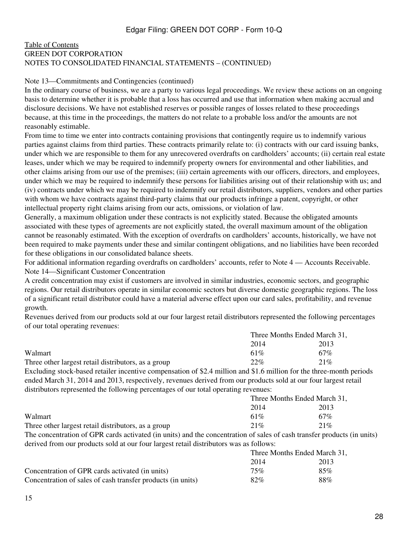#### [Table of Contents](#page-2-0) GREEN DOT CORPORATION NOTES TO CONSOLIDATED FINANCIAL STATEMENTS – (CONTINUED)

#### Note 13—Commitments and Contingencies (continued)

In the ordinary course of business, we are a party to various legal proceedings. We review these actions on an ongoing basis to determine whether it is probable that a loss has occurred and use that information when making accrual and disclosure decisions. We have not established reserves or possible ranges of losses related to these proceedings because, at this time in the proceedings, the matters do not relate to a probable loss and/or the amounts are not reasonably estimable.

From time to time we enter into contracts containing provisions that contingently require us to indemnify various parties against claims from third parties. These contracts primarily relate to: (i) contracts with our card issuing banks, under which we are responsible to them for any unrecovered overdrafts on cardholders' accounts; (ii) certain real estate leases, under which we may be required to indemnify property owners for environmental and other liabilities, and other claims arising from our use of the premises; (iii) certain agreements with our officers, directors, and employees, under which we may be required to indemnify these persons for liabilities arising out of their relationship with us; and (iv) contracts under which we may be required to indemnify our retail distributors, suppliers, vendors and other parties with whom we have contracts against third-party claims that our products infringe a patent, copyright, or other intellectual property right claims arising from our acts, omissions, or violation of law.

Generally, a maximum obligation under these contracts is not explicitly stated. Because the obligated amounts associated with these types of agreements are not explicitly stated, the overall maximum amount of the obligation cannot be reasonably estimated. With the exception of overdrafts on cardholders' accounts, historically, we have not been required to make payments under these and similar contingent obligations, and no liabilities have been recorded for these obligations in our consolidated balance sheets.

For additional information regarding overdrafts on cardholders' accounts, refer to Note 4 — Accounts Receivable. Note 14—Significant Customer Concentration

A credit concentration may exist if customers are involved in similar industries, economic sectors, and geographic regions. Our retail distributors operate in similar economic sectors but diverse domestic geographic regions. The loss of a significant retail distributor could have a material adverse effect upon our card sales, profitability, and revenue growth.

Revenues derived from our products sold at our four largest retail distributors represented the following percentages of our total operating revenues:

|                                                     | Three Months Ended March 31, |      |  |
|-----------------------------------------------------|------------------------------|------|--|
|                                                     | 2014                         | 2013 |  |
| Walmart                                             | 61\%                         | 67%  |  |
| Three other largest retail distributors, as a group | 22%                          | 21%  |  |
|                                                     |                              |      |  |

Excluding stock-based retailer incentive compensation of \$2.4 million and \$1.6 million for the three-month periods ended March 31, 2014 and 2013, respectively, revenues derived from our products sold at our four largest retail distributors represented the following percentages of our total operating revenues:

|                                                                                                                 | Three Months Ended March 31, |      |  |
|-----------------------------------------------------------------------------------------------------------------|------------------------------|------|--|
|                                                                                                                 | 2014                         | 2013 |  |
| Walmart                                                                                                         | 61\%                         | 67%  |  |
| Three other largest retail distributors, as a group                                                             | 21%                          | 21%  |  |
| The concentration of GPR cards activated (in units) and the concentration of sales of cash transfer products (i |                              |      |  |

The concentration of GPR cards activated (in units) and the concentration of sales of cash transfer products (in units) derived from our products sold at our four largest retail distributors was as follows:  $T_{\rm H}$  T  $1.1M$ ,  $1.21$ 

|                                                             | Three Months Ended March 31. |      |  |
|-------------------------------------------------------------|------------------------------|------|--|
|                                                             | 2014                         | 2013 |  |
| Concentration of GPR cards activated (in units)             | 75%                          | 85%  |  |
| Concentration of sales of cash transfer products (in units) | 82%                          | 88%  |  |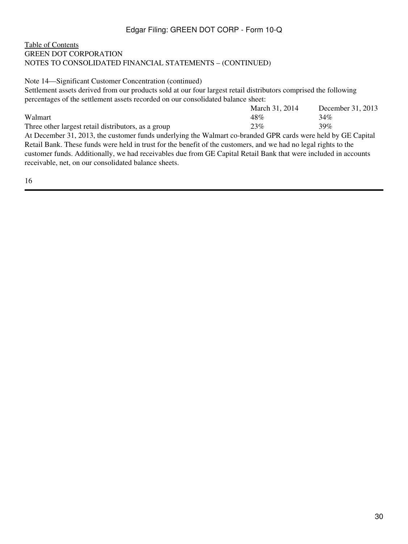### [Table of Contents](#page-2-0) GREEN DOT CORPORATION NOTES TO CONSOLIDATED FINANCIAL STATEMENTS – (CONTINUED)

Note 14—Significant Customer Concentration (continued)

Settlement assets derived from our products sold at our four largest retail distributors comprised the following percentages of the settlement assets recorded on our consolidated balance sheet:

|                                                     | March 31, 2014 | December 31, 2013 |
|-----------------------------------------------------|----------------|-------------------|
| Walmart                                             | 48%            | 34%               |
| Three other largest retail distributors, as a group | 23%            | 39%               |

At December 31, 2013, the customer funds underlying the Walmart co-branded GPR cards were held by GE Capital Retail Bank. These funds were held in trust for the benefit of the customers, and we had no legal rights to the customer funds. Additionally, we had receivables due from GE Capital Retail Bank that were included in accounts receivable, net, on our consolidated balance sheets.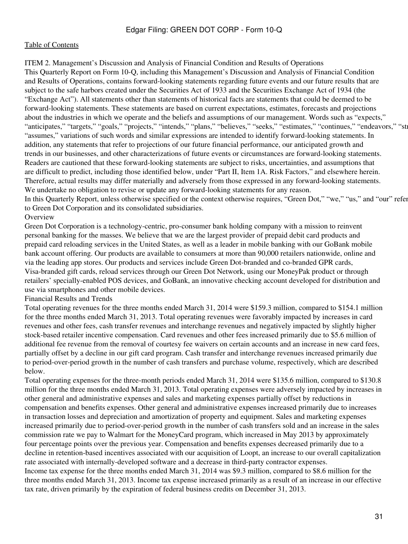<span id="page-30-0"></span>ITEM 2. Management's Discussion and Analysis of Financial Condition and Results of Operations This Quarterly Report on Form 10-Q, including this Management's Discussion and Analysis of Financial Condition and Results of Operations, contains forward-looking statements regarding future events and our future results that are subject to the safe harbors created under the Securities Act of 1933 and the Securities Exchange Act of 1934 (the "Exchange Act"). All statements other than statements of historical facts are statements that could be deemed to be forward-looking statements. These statements are based on current expectations, estimates, forecasts and projections about the industries in which we operate and the beliefs and assumptions of our management. Words such as "expects," "anticipates," "targets," "goals," "projects," "intends," "plans," "believes," "seeks," "estimates," "continues," "endeavors," "str "assumes," variations of such words and similar expressions are intended to identify forward-looking statements. In addition, any statements that refer to projections of our future financial performance, our anticipated growth and trends in our businesses, and other characterizations of future events or circumstances are forward-looking statements. Readers are cautioned that these forward-looking statements are subject to risks, uncertainties, and assumptions that are difficult to predict, including those identified below, under "Part II, Item 1A. Risk Factors," and elsewhere herein. Therefore, actual results may differ materially and adversely from those expressed in any forward-looking statements. We undertake no obligation to revise or update any forward-looking statements for any reason.

In this Quarterly Report, unless otherwise specified or the context otherwise requires, "Green Dot," "we," "us," and "our" refer to Green Dot Corporation and its consolidated subsidiaries.

### **Overview**

Green Dot Corporation is a technology-centric, pro-consumer bank holding company with a mission to reinvent personal banking for the masses. We believe that we are the largest provider of prepaid debit card products and prepaid card reloading services in the United States, as well as a leader in mobile banking with our GoBank mobile bank account offering. Our products are available to consumers at more than 90,000 retailers nationwide, online and via the leading app stores. Our products and services include Green Dot-branded and co-branded GPR cards, Visa-branded gift cards, reload services through our Green Dot Network, using our MoneyPak product or through retailers' specially-enabled POS devices, and GoBank, an innovative checking account developed for distribution and use via smartphones and other mobile devices.

Financial Results and Trends

Total operating revenues for the three months ended March 31, 2014 were \$159.3 million, compared to \$154.1 million for the three months ended March 31, 2013. Total operating revenues were favorably impacted by increases in card revenues and other fees, cash transfer revenues and interchange revenues and negatively impacted by slightly higher stock-based retailer incentive compensation. Card revenues and other fees increased primarily due to \$5.6 million of additional fee revenue from the removal of courtesy fee waivers on certain accounts and an increase in new card fees, partially offset by a decline in our gift card program. Cash transfer and interchange revenues increased primarily due to period-over-period growth in the number of cash transfers and purchase volume, respectively, which are described below.

Total operating expenses for the three-month periods ended March 31, 2014 were \$135.6 million, compared to \$130.8 million for the three months ended March 31, 2013. Total operating expenses were adversely impacted by increases in other general and administrative expenses and sales and marketing expenses partially offset by reductions in compensation and benefits expenses. Other general and administrative expenses increased primarily due to increases in transaction losses and depreciation and amortization of property and equipment. Sales and marketing expenses increased primarily due to period-over-period growth in the number of cash transfers sold and an increase in the sales commission rate we pay to Walmart for the MoneyCard program, which increased in May 2013 by approximately four percentage points over the previous year. Compensation and benefits expenses decreased primarily due to a decline in retention-based incentives associated with our acquisition of Loopt, an increase to our overall capitalization rate associated with internally-developed software and a decrease in third-party contractor expenses. Income tax expense for the three months ended March 31, 2014 was \$9.3 million, compared to \$8.6 million for the three months ended March 31, 2013. Income tax expense increased primarily as a result of an increase in our effective tax rate, driven primarily by the expiration of federal business credits on December 31, 2013.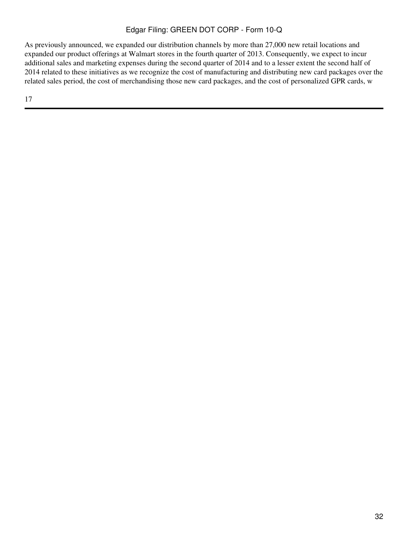As previously announced, we expanded our distribution channels by more than 27,000 new retail locations and expanded our product offerings at Walmart stores in the fourth quarter of 2013. Consequently, we expect to incur additional sales and marketing expenses during the second quarter of 2014 and to a lesser extent the second half of 2014 related to these initiatives as we recognize the cost of manufacturing and distributing new card packages over the related sales period, the cost of merchandising those new card packages, and the cost of personalized GPR cards, w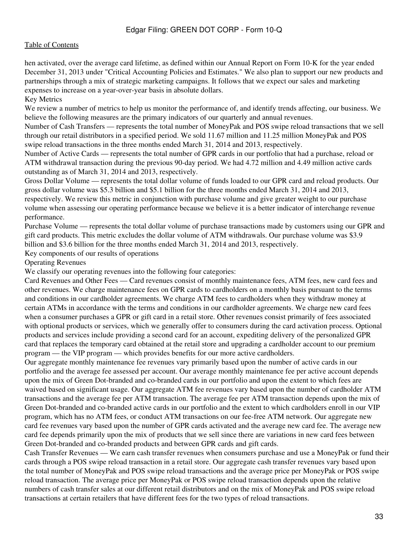hen activated, over the average card lifetime, as defined within our Annual Report on Form 10-K for the year ended December 31, 2013 under "Critical Accounting Policies and Estimates." We also plan to support our new products and partnerships through a mix of strategic marketing campaigns. It follows that we expect our sales and marketing expenses to increase on a year-over-year basis in absolute dollars.

Key Metrics

We review a number of metrics to help us monitor the performance of, and identify trends affecting, our business. We believe the following measures are the primary indicators of our quarterly and annual revenues.

Number of Cash Transfers — represents the total number of MoneyPak and POS swipe reload transactions that we sell through our retail distributors in a specified period. We sold 11.67 million and 11.25 million MoneyPak and POS swipe reload transactions in the three months ended March 31, 2014 and 2013, respectively.

Number of Active Cards — represents the total number of GPR cards in our portfolio that had a purchase, reload or ATM withdrawal transaction during the previous 90-day period. We had 4.72 million and 4.49 million active cards outstanding as of March 31, 2014 and 2013, respectively.

Gross Dollar Volume — represents the total dollar volume of funds loaded to our GPR card and reload products. Our gross dollar volume was \$5.3 billion and \$5.1 billion for the three months ended March 31, 2014 and 2013, respectively. We review this metric in conjunction with purchase volume and give greater weight to our purchase volume when assessing our operating performance because we believe it is a better indicator of interchange revenue performance.

Purchase Volume — represents the total dollar volume of purchase transactions made by customers using our GPR and gift card products. This metric excludes the dollar volume of ATM withdrawals. Our purchase volume was \$3.9 billion and \$3.6 billion for the three months ended March 31, 2014 and 2013, respectively.

Key components of our results of operations

Operating Revenues

We classify our operating revenues into the following four categories:

Card Revenues and Other Fees — Card revenues consist of monthly maintenance fees, ATM fees, new card fees and other revenues. We charge maintenance fees on GPR cards to cardholders on a monthly basis pursuant to the terms and conditions in our cardholder agreements. We charge ATM fees to cardholders when they withdraw money at certain ATMs in accordance with the terms and conditions in our cardholder agreements. We charge new card fees when a consumer purchases a GPR or gift card in a retail store. Other revenues consist primarily of fees associated with optional products or services, which we generally offer to consumers during the card activation process. Optional products and services include providing a second card for an account, expediting delivery of the personalized GPR card that replaces the temporary card obtained at the retail store and upgrading a cardholder account to our premium program — the VIP program — which provides benefits for our more active cardholders.

Our aggregate monthly maintenance fee revenues vary primarily based upon the number of active cards in our portfolio and the average fee assessed per account. Our average monthly maintenance fee per active account depends upon the mix of Green Dot-branded and co-branded cards in our portfolio and upon the extent to which fees are waived based on significant usage. Our aggregate ATM fee revenues vary based upon the number of cardholder ATM transactions and the average fee per ATM transaction. The average fee per ATM transaction depends upon the mix of Green Dot-branded and co-branded active cards in our portfolio and the extent to which cardholders enroll in our VIP program, which has no ATM fees, or conduct ATM transactions on our fee-free ATM network. Our aggregate new card fee revenues vary based upon the number of GPR cards activated and the average new card fee. The average new card fee depends primarily upon the mix of products that we sell since there are variations in new card fees between Green Dot-branded and co-branded products and between GPR cards and gift cards.

Cash Transfer Revenues — We earn cash transfer revenues when consumers purchase and use a MoneyPak or fund their cards through a POS swipe reload transaction in a retail store. Our aggregate cash transfer revenues vary based upon the total number of MoneyPak and POS swipe reload transactions and the average price per MoneyPak or POS swipe reload transaction. The average price per MoneyPak or POS swipe reload transaction depends upon the relative numbers of cash transfer sales at our different retail distributors and on the mix of MoneyPak and POS swipe reload transactions at certain retailers that have different fees for the two types of reload transactions.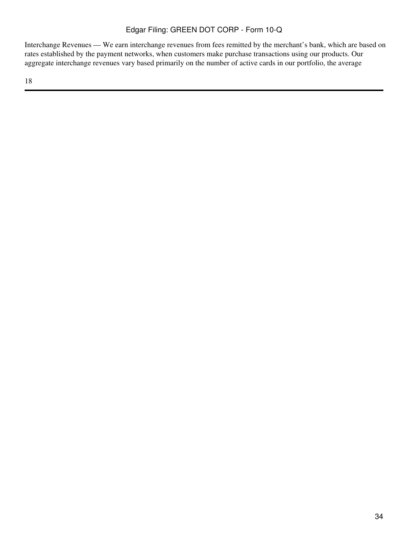Interchange Revenues — We earn interchange revenues from fees remitted by the merchant's bank, which are based on rates established by the payment networks, when customers make purchase transactions using our products. Our aggregate interchange revenues vary based primarily on the number of active cards in our portfolio, the average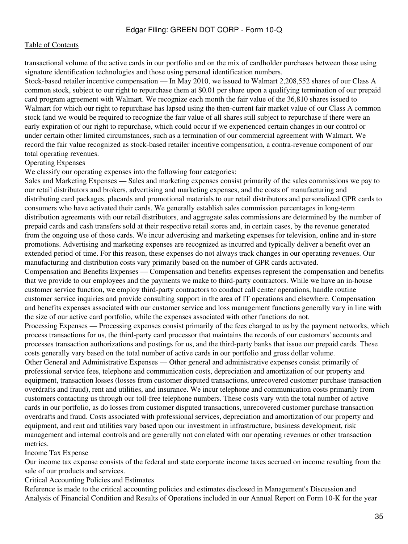transactional volume of the active cards in our portfolio and on the mix of cardholder purchases between those using signature identification technologies and those using personal identification numbers.

Stock-based retailer incentive compensation — In May 2010, we issued to Walmart 2,208,552 shares of our Class A common stock, subject to our right to repurchase them at \$0.01 per share upon a qualifying termination of our prepaid card program agreement with Walmart. We recognize each month the fair value of the 36,810 shares issued to Walmart for which our right to repurchase has lapsed using the then-current fair market value of our Class A common stock (and we would be required to recognize the fair value of all shares still subject to repurchase if there were an early expiration of our right to repurchase, which could occur if we experienced certain changes in our control or under certain other limited circumstances, such as a termination of our commercial agreement with Walmart. We record the fair value recognized as stock-based retailer incentive compensation, a contra-revenue component of our total operating revenues.

#### Operating Expenses

We classify our operating expenses into the following four categories:

Sales and Marketing Expenses — Sales and marketing expenses consist primarily of the sales commissions we pay to our retail distributors and brokers, advertising and marketing expenses, and the costs of manufacturing and distributing card packages, placards and promotional materials to our retail distributors and personalized GPR cards to consumers who have activated their cards. We generally establish sales commission percentages in long-term distribution agreements with our retail distributors, and aggregate sales commissions are determined by the number of prepaid cards and cash transfers sold at their respective retail stores and, in certain cases, by the revenue generated from the ongoing use of those cards. We incur advertising and marketing expenses for television, online and in-store promotions. Advertising and marketing expenses are recognized as incurred and typically deliver a benefit over an extended period of time. For this reason, these expenses do not always track changes in our operating revenues. Our manufacturing and distribution costs vary primarily based on the number of GPR cards activated.

Compensation and Benefits Expenses — Compensation and benefits expenses represent the compensation and benefits that we provide to our employees and the payments we make to third-party contractors. While we have an in-house customer service function, we employ third-party contractors to conduct call center operations, handle routine customer service inquiries and provide consulting support in the area of IT operations and elsewhere. Compensation and benefits expenses associated with our customer service and loss management functions generally vary in line with the size of our active card portfolio, while the expenses associated with other functions do not.

Processing Expenses — Processing expenses consist primarily of the fees charged to us by the payment networks, which process transactions for us, the third-party card processor that maintains the records of our customers' accounts and processes transaction authorizations and postings for us, and the third-party banks that issue our prepaid cards. These costs generally vary based on the total number of active cards in our portfolio and gross dollar volume.

Other General and Administrative Expenses — Other general and administrative expenses consist primarily of professional service fees, telephone and communication costs, depreciation and amortization of our property and equipment, transaction losses (losses from customer disputed transactions, unrecovered customer purchase transaction overdrafts and fraud), rent and utilities, and insurance. We incur telephone and communication costs primarily from customers contacting us through our toll-free telephone numbers. These costs vary with the total number of active cards in our portfolio, as do losses from customer disputed transactions, unrecovered customer purchase transaction overdrafts and fraud. Costs associated with professional services, depreciation and amortization of our property and equipment, and rent and utilities vary based upon our investment in infrastructure, business development, risk management and internal controls and are generally not correlated with our operating revenues or other transaction metrics.

#### Income Tax Expense

Our income tax expense consists of the federal and state corporate income taxes accrued on income resulting from the sale of our products and services.

Critical Accounting Policies and Estimates

Reference is made to the critical accounting policies and estimates disclosed in Management's Discussion and Analysis of Financial Condition and Results of Operations included in our Annual Report on Form 10-K for the year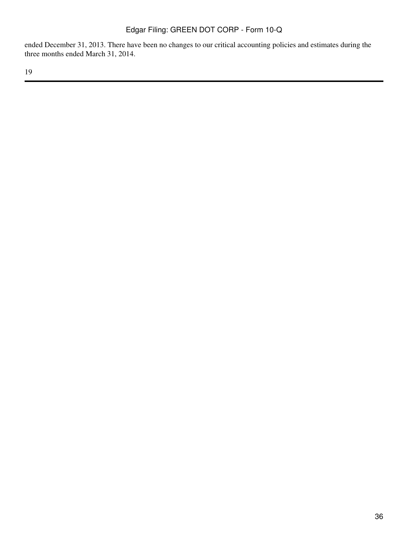ended December 31, 2013. There have been no changes to our critical accounting policies and estimates during the three months ended March 31, 2014.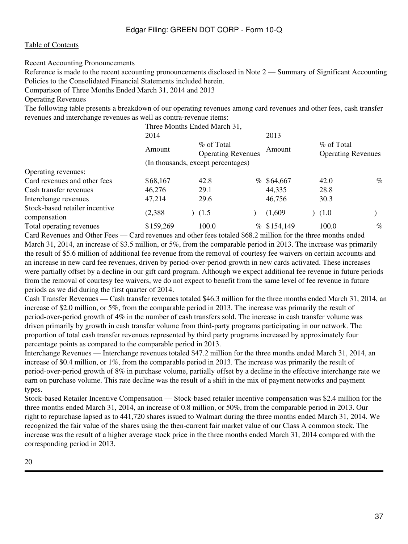Recent Accounting Pronouncements

Reference is made to the recent accounting pronouncements disclosed in Note 2 — Summary of Significant Accounting Policies to the Consolidated Financial Statements included herein.

Comparison of Three Months Ended March 31, 2014 and 2013

Operating Revenues

The following table presents a breakdown of our operating revenues among card revenues and other fees, cash transfer revenues and interchange revenues as well as contra-revenue items:

|                                                |           | Three Months Ended March 31,            |      |              |                                         |      |
|------------------------------------------------|-----------|-----------------------------------------|------|--------------|-----------------------------------------|------|
|                                                | 2014      |                                         |      | 2013         |                                         |      |
|                                                | Amount    | % of Total<br><b>Operating Revenues</b> |      | Amount       | % of Total<br><b>Operating Revenues</b> |      |
|                                                |           | (In thousands, except percentages)      |      |              |                                         |      |
| Operating revenues:                            |           |                                         |      |              |                                         |      |
| Card revenues and other fees                   | \$68,167  | 42.8                                    |      | $%$ \$64,667 | 42.0                                    | $\%$ |
| Cash transfer revenues                         | 46,276    | 29.1                                    |      | 44,335       | 28.8                                    |      |
| Interchange revenues                           | 47,214    | 29.6                                    |      | 46,756       | 30.3                                    |      |
| Stock-based retailer incentive<br>compensation | (2,388)   | (1.5)                                   |      | (1,609)      | (1.0)                                   |      |
| Total operating revenues                       | \$159,269 | 100.0                                   | $\%$ | \$154,149    | 100.0                                   | $\%$ |

Card Revenues and Other Fees — Card revenues and other fees totaled \$68.2 million for the three months ended March 31, 2014, an increase of \$3.5 million, or 5%, from the comparable period in 2013. The increase was primarily the result of \$5.6 million of additional fee revenue from the removal of courtesy fee waivers on certain accounts and an increase in new card fee revenues, driven by period-over-period growth in new cards activated. These increases were partially offset by a decline in our gift card program. Although we expect additional fee revenue in future periods from the removal of courtesy fee waivers, we do not expect to benefit from the same level of fee revenue in future periods as we did during the first quarter of 2014.

Cash Transfer Revenues — Cash transfer revenues totaled \$46.3 million for the three months ended March 31, 2014, an increase of \$2.0 million, or 5%, from the comparable period in 2013. The increase was primarily the result of period-over-period growth of 4% in the number of cash transfers sold. The increase in cash transfer volume was driven primarily by growth in cash transfer volume from third-party programs participating in our network. The proportion of total cash transfer revenues represented by third party programs increased by approximately four percentage points as compared to the comparable period in 2013.

Interchange Revenues — Interchange revenues totaled \$47.2 million for the three months ended March 31, 2014, an increase of \$0.4 million, or 1%, from the comparable period in 2013. The increase was primarily the result of period-over-period growth of 8% in purchase volume, partially offset by a decline in the effective interchange rate we earn on purchase volume. This rate decline was the result of a shift in the mix of payment networks and payment types.

Stock-based Retailer Incentive Compensation — Stock-based retailer incentive compensation was \$2.4 million for the three months ended March 31, 2014, an increase of 0.8 million, or 50%, from the comparable period in 2013. Our right to repurchase lapsed as to 441,720 shares issued to Walmart during the three months ended March 31, 2014. We recognized the fair value of the shares using the then-current fair market value of our Class A common stock. The increase was the result of a higher average stock price in the three months ended March 31, 2014 compared with the corresponding period in 2013.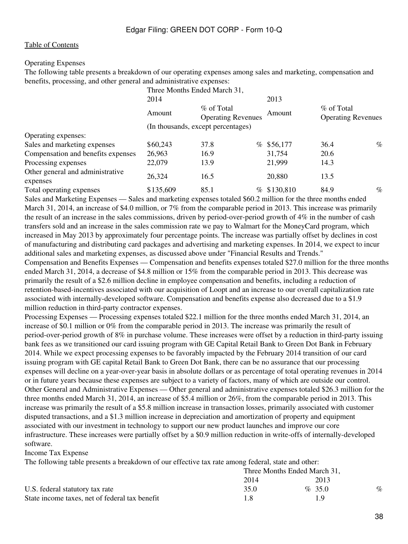#### Operating Expenses

The following table presents a breakdown of our operating expenses among sales and marketing, compensation and benefits, processing, and other general and administrative expenses:

|                                              |           | Three Months Ended March 31,            |                   |                                         |      |
|----------------------------------------------|-----------|-----------------------------------------|-------------------|-----------------------------------------|------|
|                                              | 2014      |                                         | 2013              |                                         |      |
|                                              | Amount    | % of Total<br><b>Operating Revenues</b> | Amount            | % of Total<br><b>Operating Revenues</b> |      |
|                                              |           | (In thousands, except percentages)      |                   |                                         |      |
| Operating expenses:                          |           |                                         |                   |                                         |      |
| Sales and marketing expenses                 | \$60,243  | 37.8                                    | $%$ \$56,177      | 36.4                                    | $\%$ |
| Compensation and benefits expenses           | 26,963    | 16.9                                    | 31,754            | 20.6                                    |      |
| Processing expenses                          | 22,079    | 13.9                                    | 21,999            | 14.3                                    |      |
| Other general and administrative<br>expenses | 26,324    | 16.5                                    | 20,880            | 13.5                                    |      |
| Total operating expenses                     | \$135,609 | 85.1                                    | \$130,810<br>$\%$ | 84.9                                    | $\%$ |

Sales and Marketing Expenses — Sales and marketing expenses totaled \$60.2 million for the three months ended March 31, 2014, an increase of \$4.0 million, or 7% from the comparable period in 2013. This increase was primarily the result of an increase in the sales commissions, driven by period-over-period growth of 4% in the number of cash transfers sold and an increase in the sales commission rate we pay to Walmart for the MoneyCard program, which increased in May 2013 by approximately four percentage points. The increase was partially offset by declines in cost of manufacturing and distributing card packages and advertising and marketing expenses. In 2014, we expect to incur additional sales and marketing expenses, as discussed above under "Financial Results and Trends." Compensation and Benefits Expenses — Compensation and benefits expenses totaled \$27.0 million for the three months ended March 31, 2014, a decrease of \$4.8 million or 15% from the comparable period in 2013. This decrease was primarily the result of a \$2.6 million decline in employee compensation and benefits, including a reduction of retention-based-incentives associated with our acquisition of Loopt and an increase to our overall capitalization rate associated with internally-developed software. Compensation and benefits expense also decreased due to a \$1.9 million reduction in third-party contractor expenses.

Processing Expenses — Processing expenses totaled \$22.1 million for the three months ended March 31, 2014, an increase of \$0.1 million or 0% from the comparable period in 2013. The increase was primarily the result of period-over-period growth of 8% in purchase volume. These increases were offset by a reduction in third-party issuing bank fees as we transitioned our card issuing program with GE Capital Retail Bank to Green Dot Bank in February 2014. While we expect processing expenses to be favorably impacted by the February 2014 transition of our card issuing program with GE capital Retail Bank to Green Dot Bank, there can be no assurance that our processing expenses will decline on a year-over-year basis in absolute dollars or as percentage of total operating revenues in 2014 or in future years because these expenses are subject to a variety of factors, many of which are outside our control. Other General and Administrative Expenses — Other general and administrative expenses totaled \$26.3 million for the three months ended March 31, 2014, an increase of \$5.4 million or 26%, from the comparable period in 2013. This increase was primarily the result of a \$5.8 million increase in transaction losses, primarily associated with customer disputed transactions, and a \$1.3 million increase in depreciation and amortization of property and equipment associated with our investment in technology to support our new product launches and improve our core infrastructure. These increases were partially offset by a \$0.9 million reduction in write-offs of internally-developed software.

#### Income Tax Expense

The following table presents a breakdown of our effective tax rate among federal, state and other:

|                                                | Three Months Ended March 31, |           |      |
|------------------------------------------------|------------------------------|-----------|------|
|                                                | 2014                         | 2013      |      |
| U.S. federal statutory tax rate                | 35.0                         | $\%$ 35.0 | $\%$ |
| State income taxes, net of federal tax benefit |                              | 1 Q       |      |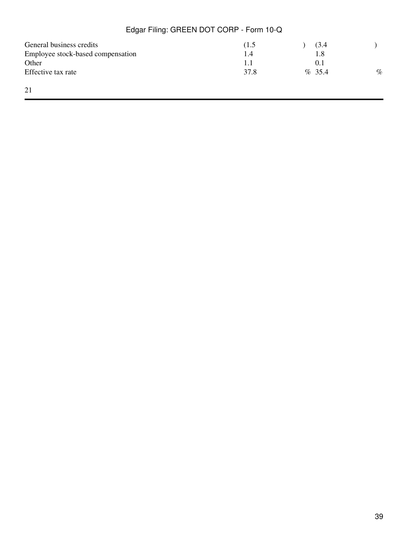| General business credits                   | (1.5)      | (3.4<br>l.8 |      |
|--------------------------------------------|------------|-------------|------|
| Employee stock-based compensation<br>Other | 1.4<br>1.1 | O. I        |      |
| Effective tax rate                         | 37.8       | $\%$ 35.4   | $\%$ |
| 21                                         |            |             |      |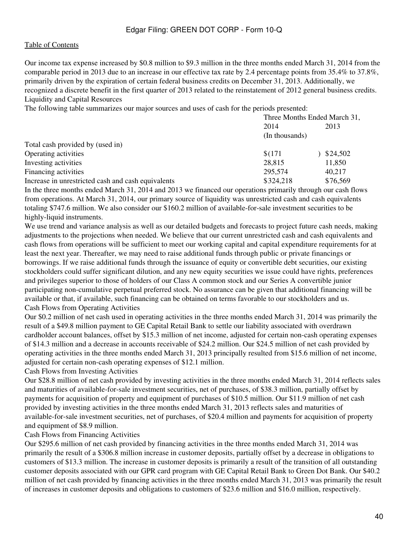Our income tax expense increased by \$0.8 million to \$9.3 million in the three months ended March 31, 2014 from the comparable period in 2013 due to an increase in our effective tax rate by 2.4 percentage points from 35.4% to 37.8%, primarily driven by the expiration of certain federal business credits on December 31, 2013. Additionally, we recognized a discrete benefit in the first quarter of 2013 related to the reinstatement of 2012 general business credits. Liquidity and Capital Resources

The following table summarizes our major sources and uses of cash for the periods presented:

|                                                    | Three Months Ended March 31, |          |
|----------------------------------------------------|------------------------------|----------|
|                                                    | 2014                         | 2013     |
|                                                    | (In thousands)               |          |
| Total cash provided by (used in)                   |                              |          |
| Operating activities                               | \$(171)                      | 324,502  |
| Investing activities                               | 28,815                       | 11,850   |
| Financing activities                               | 295,574                      | 40.217   |
| Increase in unrestricted cash and cash equivalents | \$324,218                    | \$76,569 |

In the three months ended March 31, 2014 and 2013 we financed our operations primarily through our cash flows from operations. At March 31, 2014, our primary source of liquidity was unrestricted cash and cash equivalents totaling \$747.6 million. We also consider our \$160.2 million of available-for-sale investment securities to be highly-liquid instruments.

We use trend and variance analysis as well as our detailed budgets and forecasts to project future cash needs, making adjustments to the projections when needed. We believe that our current unrestricted cash and cash equivalents and cash flows from operations will be sufficient to meet our working capital and capital expenditure requirements for at least the next year. Thereafter, we may need to raise additional funds through public or private financings or borrowings. If we raise additional funds through the issuance of equity or convertible debt securities, our existing stockholders could suffer significant dilution, and any new equity securities we issue could have rights, preferences and privileges superior to those of holders of our Class A common stock and our Series A convertible junior participating non-cumulative perpetual preferred stock. No assurance can be given that additional financing will be available or that, if available, such financing can be obtained on terms favorable to our stockholders and us. Cash Flows from Operating Activities

Our \$0.2 million of net cash used in operating activities in the three months ended March 31, 2014 was primarily the result of a \$49.8 million payment to GE Capital Retail Bank to settle our liability associated with overdrawn cardholder account balances, offset by \$15.3 million of net income, adjusted for certain non-cash operating expenses of \$14.3 million and a decrease in accounts receivable of \$24.2 million. Our \$24.5 million of net cash provided by operating activities in the three months ended March 31, 2013 principally resulted from \$15.6 million of net income, adjusted for certain non-cash operating expenses of \$12.1 million.

Cash Flows from Investing Activities

Our \$28.8 million of net cash provided by investing activities in the three months ended March 31, 2014 reflects sales and maturities of available-for-sale investment securities, net of purchases, of \$38.3 million, partially offset by payments for acquisition of property and equipment of purchases of \$10.5 million. Our \$11.9 million of net cash provided by investing activities in the three months ended March 31, 2013 reflects sales and maturities of available-for-sale investment securities, net of purchases, of \$20.4 million and payments for acquisition of property and equipment of \$8.9 million.

### Cash Flows from Financing Activities

Our \$295.6 million of net cash provided by financing activities in the three months ended March 31, 2014 was primarily the result of a \$306.8 million increase in customer deposits, partially offset by a decrease in obligations to customers of \$13.3 million. The increase in customer deposits is primarily a result of the transition of all outstanding customer deposits associated with our GPR card program with GE Capital Retail Bank to Green Dot Bank. Our \$40.2 million of net cash provided by financing activities in the three months ended March 31, 2013 was primarily the result of increases in customer deposits and obligations to customers of \$23.6 million and \$16.0 million, respectively.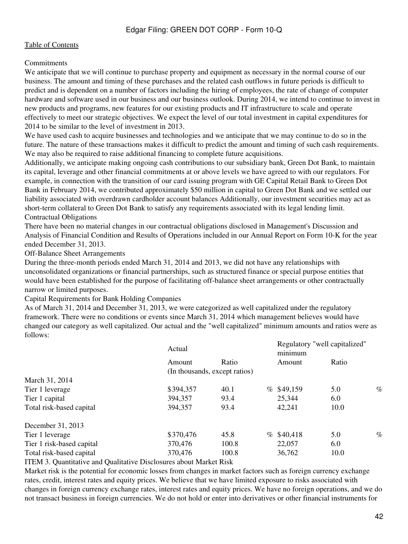### **Commitments**

We anticipate that we will continue to purchase property and equipment as necessary in the normal course of our business. The amount and timing of these purchases and the related cash outflows in future periods is difficult to predict and is dependent on a number of factors including the hiring of employees, the rate of change of computer hardware and software used in our business and our business outlook. During 2014, we intend to continue to invest in new products and programs, new features for our existing products and IT infrastructure to scale and operate effectively to meet our strategic objectives. We expect the level of our total investment in capital expenditures for 2014 to be similar to the level of investment in 2013.

We have used cash to acquire businesses and technologies and we anticipate that we may continue to do so in the future. The nature of these transactions makes it difficult to predict the amount and timing of such cash requirements. We may also be required to raise additional financing to complete future acquisitions.

Additionally, we anticipate making ongoing cash contributions to our subsidiary bank, Green Dot Bank, to maintain its capital, leverage and other financial commitments at or above levels we have agreed to with our regulators. For example, in connection with the transition of our card issuing program with GE Capital Retail Bank to Green Dot Bank in February 2014, we contributed approximately \$50 million in capital to Green Dot Bank and we settled our liability associated with overdrawn cardholder account balances Additionally, our investment securities may act as short-term collateral to Green Dot Bank to satisfy any requirements associated with its legal lending limit. Contractual Obligations

There have been no material changes in our contractual obligations disclosed in Management's Discussion and Analysis of Financial Condition and Results of Operations included in our Annual Report on Form 10-K for the year ended December 31, 2013.

Off-Balance Sheet Arrangements

During the three-month periods ended March 31, 2014 and 2013, we did not have any relationships with unconsolidated organizations or financial partnerships, such as structured finance or special purpose entities that would have been established for the purpose of facilitating off-balance sheet arrangements or other contractually narrow or limited purposes.

Capital Requirements for Bank Holding Companies

As of March 31, 2014 and December 31, 2013, we were categorized as well capitalized under the regulatory framework. There were no conditions or events since March 31, 2014 which management believes would have changed our category as well capitalized. Our actual and the "well capitalized" minimum amounts and ratios were as follows:

|                           | Actual                        |       | Regulatory "well capitalized"<br>minimum |              |       |      |
|---------------------------|-------------------------------|-------|------------------------------------------|--------------|-------|------|
|                           | Amount                        | Ratio |                                          | Amount       | Ratio |      |
|                           | (In thousands, except ratios) |       |                                          |              |       |      |
| March 31, 2014            |                               |       |                                          |              |       |      |
| Tier 1 leverage           | \$394,357                     | 40.1  |                                          | $%$ \$49,159 | 5.0   | $\%$ |
| Tier 1 capital            | 394, 357                      | 93.4  |                                          | 25,344       | 6.0   |      |
| Total risk-based capital  | 394,357                       | 93.4  |                                          | 42,241       | 10.0  |      |
| December 31, 2013         |                               |       |                                          |              |       |      |
| Tier 1 leverage           | \$370,476                     | 45.8  |                                          | $%$ \$40,418 | 5.0   | $\%$ |
| Tier 1 risk-based capital | 370,476                       | 100.8 |                                          | 22,057       | 6.0   |      |
| Total risk-based capital  | 370,476                       | 100.8 |                                          | 36,762       | 10.0  |      |
| $\mathbf{m}\mathbf{m}$    |                               |       |                                          |              |       |      |

<span id="page-41-0"></span>ITEM 3. Quantitative and Qualitative Disclosures about Market Risk

Market risk is the potential for economic losses from changes in market factors such as foreign currency exchange rates, credit, interest rates and equity prices. We believe that we have limited exposure to risks associated with changes in foreign currency exchange rates, interest rates and equity prices. We have no foreign operations, and we do not transact business in foreign currencies. We do not hold or enter into derivatives or other financial instruments for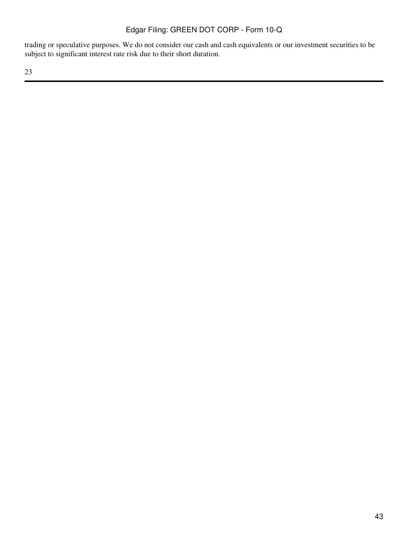trading or speculative purposes. We do not consider our cash and cash equivalents or our investment securities to be subject to significant interest rate risk due to their short duration.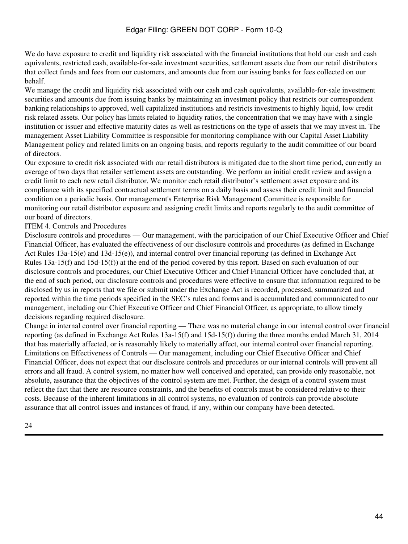We do have exposure to credit and liquidity risk associated with the financial institutions that hold our cash and cash equivalents, restricted cash, available-for-sale investment securities, settlement assets due from our retail distributors that collect funds and fees from our customers, and amounts due from our issuing banks for fees collected on our behalf.

We manage the credit and liquidity risk associated with our cash and cash equivalents, available-for-sale investment securities and amounts due from issuing banks by maintaining an investment policy that restricts our correspondent banking relationships to approved, well capitalized institutions and restricts investments to highly liquid, low credit risk related assets. Our policy has limits related to liquidity ratios, the concentration that we may have with a single institution or issuer and effective maturity dates as well as restrictions on the type of assets that we may invest in. The management Asset Liability Committee is responsible for monitoring compliance with our Capital Asset Liability Management policy and related limits on an ongoing basis, and reports regularly to the audit committee of our board of directors.

Our exposure to credit risk associated with our retail distributors is mitigated due to the short time period, currently an average of two days that retailer settlement assets are outstanding. We perform an initial credit review and assign a credit limit to each new retail distributor. We monitor each retail distributor's settlement asset exposure and its compliance with its specified contractual settlement terms on a daily basis and assess their credit limit and financial condition on a periodic basis. Our management's Enterprise Risk Management Committee is responsible for monitoring our retail distributor exposure and assigning credit limits and reports regularly to the audit committee of our board of directors.

### <span id="page-43-0"></span>ITEM 4. Controls and Procedures

Disclosure controls and procedures — Our management, with the participation of our Chief Executive Officer and Chief Financial Officer, has evaluated the effectiveness of our disclosure controls and procedures (as defined in Exchange Act Rules 13a-15(e) and 13d-15(e)), and internal control over financial reporting (as defined in Exchange Act Rules 13a-15(f) and 15d-15(f)) at the end of the period covered by this report. Based on such evaluation of our disclosure controls and procedures, our Chief Executive Officer and Chief Financial Officer have concluded that, at the end of such period, our disclosure controls and procedures were effective to ensure that information required to be disclosed by us in reports that we file or submit under the Exchange Act is recorded, processed, summarized and reported within the time periods specified in the SEC's rules and forms and is accumulated and communicated to our management, including our Chief Executive Officer and Chief Financial Officer, as appropriate, to allow timely decisions regarding required disclosure.

Change in internal control over financial reporting — There was no material change in our internal control over financial reporting (as defined in Exchange Act Rules 13a-15(f) and 15d-15(f)) during the three months ended March 31, 2014 that has materially affected, or is reasonably likely to materially affect, our internal control over financial reporting. Limitations on Effectiveness of Controls — Our management, including our Chief Executive Officer and Chief Financial Officer, does not expect that our disclosure controls and procedures or our internal controls will prevent all errors and all fraud. A control system, no matter how well conceived and operated, can provide only reasonable, not absolute, assurance that the objectives of the control system are met. Further, the design of a control system must reflect the fact that there are resource constraints, and the benefits of controls must be considered relative to their costs. Because of the inherent limitations in all control systems, no evaluation of controls can provide absolute assurance that all control issues and instances of fraud, if any, within our company have been detected.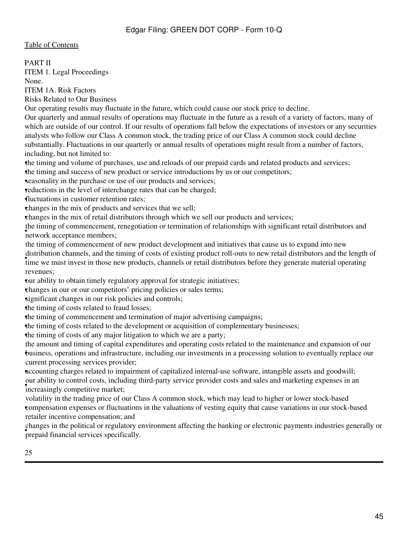PART II

<span id="page-44-0"></span>ITEM 1. Legal Proceedings

None.

<span id="page-44-1"></span>ITEM 1A. Risk Factors

Risks Related to Our Business

Our operating results may fluctuate in the future, which could cause our stock price to decline.

Our quarterly and annual results of operations may fluctuate in the future as a result of a variety of factors, many of which are outside of our control. If our results of operations fall below the expectations of investors or any securities analysts who follow our Class A common stock, the trading price of our Class A common stock could decline substantially. Fluctuations in our quarterly or annual results of operations might result from a number of factors, including, but not limited to:

•the timing and volume of purchases, use and reloads of our prepaid cards and related products and services; •the timing and success of new product or service introductions by us or our competitors;

**seasonality in the purchase or use of our products and services;** 

reductions in the level of interchange rates that can be charged;

•fluctuations in customer retention rates;

•changes in the mix of products and services that we sell;

•changes in the mix of retail distributors through which we sell our products and services;

**•** network acceptance members; the timing of commencement, renegotiation or termination of relationships with significant retail distributors and

**The wear-** time we must invest in those new products, channels or retail distributors before they generate material operating time we must invest in those new products, channels or retail distributors before they generate the timing of commencement of new product development and initiatives that cause us to expand into new distribution channels, and the timing of costs of existing product roll-outs to new retail distributors and the length of revenues;

•our ability to obtain timely regulatory approval for strategic initiatives;

•changes in our or our competitors' pricing policies or sales terms;

significant changes in our risk policies and controls;

the timing of costs related to fraud losses;

•the timing of commencement and termination of major advertising campaigns;

•the timing of costs related to the development or acquisition of complementary businesses;

•the timing of costs of any major litigation to which we are a party;

• business, operations and infrastructure, including our investments in a processing solution to eventually replace our the amount and timing of capital expenditures and operating costs related to the maintenance and expansion of our current processing services provider;

•accounting charges related to impairment of capitalized internal-use software, intangible assets and goodwill; Increasingly competitive market; our ability to control costs, including third-party service provider costs and sales and marketing expenses in an

• compensation expenses or fluctuations in the valuations of vesting equity that cause variations in our stock-based volatility in the trading price of our Class A common stock, which may lead to higher or lower stock-based retailer incentive compensation; and

• prepaid financial services specifically. changes in the political or regulatory environment affecting the banking or electronic payments industries generally or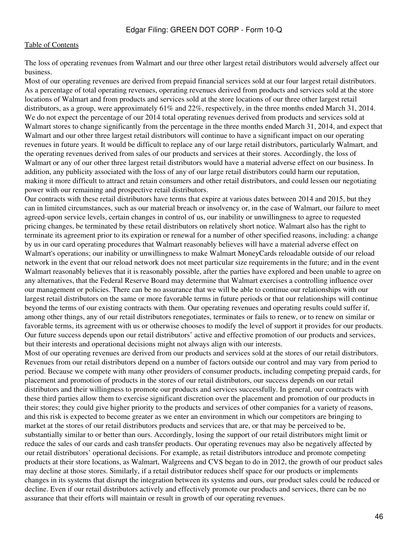The loss of operating revenues from Walmart and our three other largest retail distributors would adversely affect our business.

Most of our operating revenues are derived from prepaid financial services sold at our four largest retail distributors. As a percentage of total operating revenues, operating revenues derived from products and services sold at the store locations of Walmart and from products and services sold at the store locations of our three other largest retail distributors, as a group, were approximately 61% and 22%, respectively, in the three months ended March 31, 2014. We do not expect the percentage of our 2014 total operating revenues derived from products and services sold at Walmart stores to change significantly from the percentage in the three months ended March 31, 2014, and expect that Walmart and our other three largest retail distributors will continue to have a significant impact on our operating revenues in future years. It would be difficult to replace any of our large retail distributors, particularly Walmart, and the operating revenues derived from sales of our products and services at their stores. Accordingly, the loss of Walmart or any of our other three largest retail distributors would have a material adverse effect on our business. In addition, any publicity associated with the loss of any of our large retail distributors could harm our reputation, making it more difficult to attract and retain consumers and other retail distributors, and could lessen our negotiating power with our remaining and prospective retail distributors.

Our contracts with these retail distributors have terms that expire at various dates between 2014 and 2015, but they can in limited circumstances, such as our material breach or insolvency or, in the case of Walmart, our failure to meet agreed-upon service levels, certain changes in control of us, our inability or unwillingness to agree to requested pricing changes, be terminated by these retail distributors on relatively short notice. Walmart also has the right to terminate its agreement prior to its expiration or renewal for a number of other specified reasons, including: a change by us in our card operating procedures that Walmart reasonably believes will have a material adverse effect on Walmart's operations; our inability or unwillingness to make Walmart MoneyCards reloadable outside of our reload network in the event that our reload network does not meet particular size requirements in the future; and in the event Walmart reasonably believes that it is reasonably possible, after the parties have explored and been unable to agree on any alternatives, that the Federal Reserve Board may determine that Walmart exercises a controlling influence over our management or policies. There can be no assurance that we will be able to continue our relationships with our largest retail distributors on the same or more favorable terms in future periods or that our relationships will continue beyond the terms of our existing contracts with them. Our operating revenues and operating results could suffer if, among other things, any of our retail distributors renegotiates, terminates or fails to renew, or to renew on similar or favorable terms, its agreement with us or otherwise chooses to modify the level of support it provides for our products. Our future success depends upon our retail distributors' active and effective promotion of our products and services, but their interests and operational decisions might not always align with our interests.

Most of our operating revenues are derived from our products and services sold at the stores of our retail distributors. Revenues from our retail distributors depend on a number of factors outside our control and may vary from period to period. Because we compete with many other providers of consumer products, including competing prepaid cards, for placement and promotion of products in the stores of our retail distributors, our success depends on our retail distributors and their willingness to promote our products and services successfully. In general, our contracts with these third parties allow them to exercise significant discretion over the placement and promotion of our products in their stores; they could give higher priority to the products and services of other companies for a variety of reasons, and this risk is expected to become greater as we enter an environment in which our competitors are bringing to market at the stores of our retail distributors products and services that are, or that may be perceived to be, substantially similar to or better than ours. Accordingly, losing the support of our retail distributors might limit or reduce the sales of our cards and cash transfer products. Our operating revenues may also be negatively affected by our retail distributors' operational decisions. For example, as retail distributors introduce and promote competing products at their store locations, as Walmart, Walgreens and CVS began to do in 2012, the growth of our product sales may decline at those stores. Similarly, if a retail distributor reduces shelf space for our products or implements changes in its systems that disrupt the integration between its systems and ours, our product sales could be reduced or decline. Even if our retail distributors actively and effectively promote our products and services, there can be no assurance that their efforts will maintain or result in growth of our operating revenues.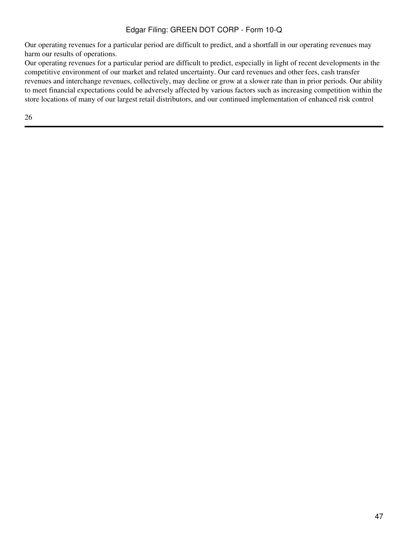Our operating revenues for a particular period are difficult to predict, and a shortfall in our operating revenues may harm our results of operations.

Our operating revenues for a particular period are difficult to predict, especially in light of recent developments in the competitive environment of our market and related uncertainty. Our card revenues and other fees, cash transfer revenues and interchange revenues, collectively, may decline or grow at a slower rate than in prior periods. Our ability to meet financial expectations could be adversely affected by various factors such as increasing competition within the store locations of many of our largest retail distributors, and our continued implementation of enhanced risk control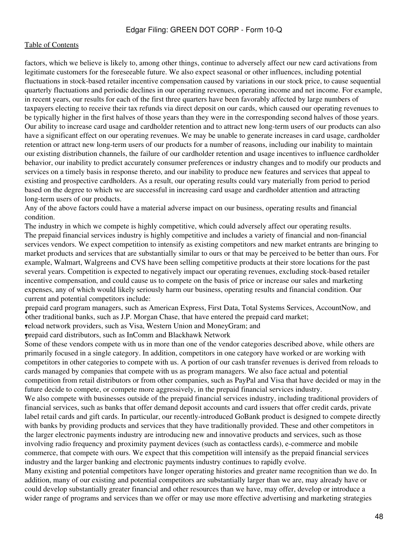factors, which we believe is likely to, among other things, continue to adversely affect our new card activations from legitimate customers for the foreseeable future. We also expect seasonal or other influences, including potential fluctuations in stock-based retailer incentive compensation caused by variations in our stock price, to cause sequential quarterly fluctuations and periodic declines in our operating revenues, operating income and net income. For example, in recent years, our results for each of the first three quarters have been favorably affected by large numbers of taxpayers electing to receive their tax refunds via direct deposit on our cards, which caused our operating revenues to be typically higher in the first halves of those years than they were in the corresponding second halves of those years. Our ability to increase card usage and cardholder retention and to attract new long-term users of our products can also have a significant effect on our operating revenues. We may be unable to generate increases in card usage, cardholder retention or attract new long-term users of our products for a number of reasons, including our inability to maintain our existing distribution channels, the failure of our cardholder retention and usage incentives to influence cardholder behavior, our inability to predict accurately consumer preferences or industry changes and to modify our products and services on a timely basis in response thereto, and our inability to produce new features and services that appeal to existing and prospective cardholders. As a result, our operating results could vary materially from period to period based on the degree to which we are successful in increasing card usage and cardholder attention and attracting long-term users of our products.

Any of the above factors could have a material adverse impact on our business, operating results and financial condition.

The industry in which we compete is highly competitive, which could adversely affect our operating results. The prepaid financial services industry is highly competitive and includes a variety of financial and non-financial services vendors. We expect competition to intensify as existing competitors and new market entrants are bringing to market products and services that are substantially similar to ours or that may be perceived to be better than ours. For example, Walmart, Walgreens and CVS have been selling competitive products at their store locations for the past several years. Competition is expected to negatively impact our operating revenues, excluding stock-based retailer incentive compensation, and could cause us to compete on the basis of price or increase our sales and marketing expenses, any of which would likely seriously harm our business, operating results and financial condition. Our current and potential competitors include:

• other traditional banks, such as J.P. Morgan Chase, that have entered the prepaid card market; prepaid card program managers, such as American Express, First Data, Total Systems Services, AccountNow, and

•reload network providers, such as Visa, Western Union and MoneyGram; and

•prepaid card distributors, such as InComm and Blackhawk Network

Some of these vendors compete with us in more than one of the vendor categories described above, while others are primarily focused in a single category. In addition, competitors in one category have worked or are working with competitors in other categories to compete with us. A portion of our cash transfer revenues is derived from reloads to cards managed by companies that compete with us as program managers. We also face actual and potential competition from retail distributors or from other companies, such as PayPal and Visa that have decided or may in the future decide to compete, or compete more aggressively, in the prepaid financial services industry.

We also compete with businesses outside of the prepaid financial services industry, including traditional providers of financial services, such as banks that offer demand deposit accounts and card issuers that offer credit cards, private label retail cards and gift cards. In particular, our recently-introduced GoBank product is designed to compete directly with banks by providing products and services that they have traditionally provided. These and other competitors in the larger electronic payments industry are introducing new and innovative products and services, such as those involving radio frequency and proximity payment devices (such as contactless cards), e-commerce and mobile commerce, that compete with ours. We expect that this competition will intensify as the prepaid financial services industry and the larger banking and electronic payments industry continues to rapidly evolve.

Many existing and potential competitors have longer operating histories and greater name recognition than we do. In addition, many of our existing and potential competitors are substantially larger than we are, may already have or could develop substantially greater financial and other resources than we have, may offer, develop or introduce a wider range of programs and services than we offer or may use more effective advertising and marketing strategies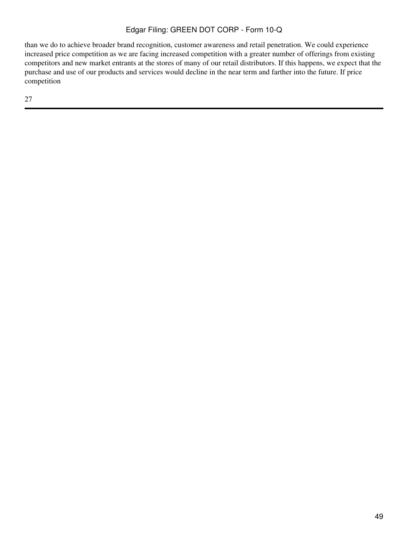than we do to achieve broader brand recognition, customer awareness and retail penetration. We could experience increased price competition as we are facing increased competition with a greater number of offerings from existing competitors and new market entrants at the stores of many of our retail distributors. If this happens, we expect that the purchase and use of our products and services would decline in the near term and farther into the future. If price competition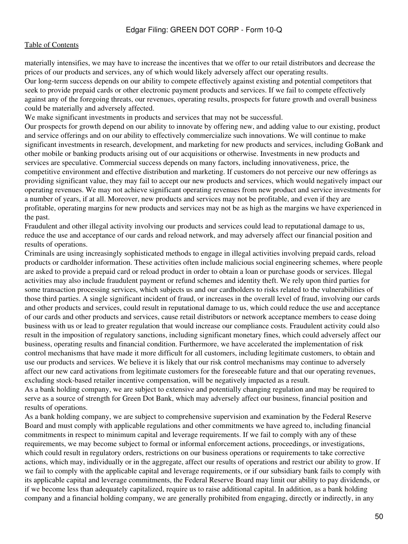materially intensifies, we may have to increase the incentives that we offer to our retail distributors and decrease the prices of our products and services, any of which would likely adversely affect our operating results. Our long-term success depends on our ability to compete effectively against existing and potential competitors that seek to provide prepaid cards or other electronic payment products and services. If we fail to compete effectively against any of the foregoing threats, our revenues, operating results, prospects for future growth and overall business could be materially and adversely affected.

We make significant investments in products and services that may not be successful.

Our prospects for growth depend on our ability to innovate by offering new, and adding value to our existing, product and service offerings and on our ability to effectively commercialize such innovations. We will continue to make significant investments in research, development, and marketing for new products and services, including GoBank and other mobile or banking products arising out of our acquisitions or otherwise. Investments in new products and services are speculative. Commercial success depends on many factors, including innovativeness, price, the competitive environment and effective distribution and marketing. If customers do not perceive our new offerings as providing significant value, they may fail to accept our new products and services, which would negatively impact our operating revenues. We may not achieve significant operating revenues from new product and service investments for a number of years, if at all. Moreover, new products and services may not be profitable, and even if they are profitable, operating margins for new products and services may not be as high as the margins we have experienced in the past.

Fraudulent and other illegal activity involving our products and services could lead to reputational damage to us, reduce the use and acceptance of our cards and reload network, and may adversely affect our financial position and results of operations.

Criminals are using increasingly sophisticated methods to engage in illegal activities involving prepaid cards, reload products or cardholder information. These activities often include malicious social engineering schemes, where people are asked to provide a prepaid card or reload product in order to obtain a loan or purchase goods or services. Illegal activities may also include fraudulent payment or refund schemes and identity theft. We rely upon third parties for some transaction processing services, which subjects us and our cardholders to risks related to the vulnerabilities of those third parties. A single significant incident of fraud, or increases in the overall level of fraud, involving our cards and other products and services, could result in reputational damage to us, which could reduce the use and acceptance of our cards and other products and services, cause retail distributors or network acceptance members to cease doing business with us or lead to greater regulation that would increase our compliance costs. Fraudulent activity could also result in the imposition of regulatory sanctions, including significant monetary fines, which could adversely affect our business, operating results and financial condition. Furthermore, we have accelerated the implementation of risk control mechanisms that have made it more difficult for all customers, including legitimate customers, to obtain and use our products and services. We believe it is likely that our risk control mechanisms may continue to adversely affect our new card activations from legitimate customers for the foreseeable future and that our operating revenues, excluding stock-based retailer incentive compensation, will be negatively impacted as a result.

As a bank holding company, we are subject to extensive and potentially changing regulation and may be required to serve as a source of strength for Green Dot Bank, which may adversely affect our business, financial position and results of operations.

As a bank holding company, we are subject to comprehensive supervision and examination by the Federal Reserve Board and must comply with applicable regulations and other commitments we have agreed to, including financial commitments in respect to minimum capital and leverage requirements. If we fail to comply with any of these requirements, we may become subject to formal or informal enforcement actions, proceedings, or investigations, which could result in regulatory orders, restrictions on our business operations or requirements to take corrective actions, which may, individually or in the aggregate, affect our results of operations and restrict our ability to grow. If we fail to comply with the applicable capital and leverage requirements, or if our subsidiary bank fails to comply with its applicable capital and leverage commitments, the Federal Reserve Board may limit our ability to pay dividends, or if we become less than adequately capitalized, require us to raise additional capital. In addition, as a bank holding company and a financial holding company, we are generally prohibited from engaging, directly or indirectly, in any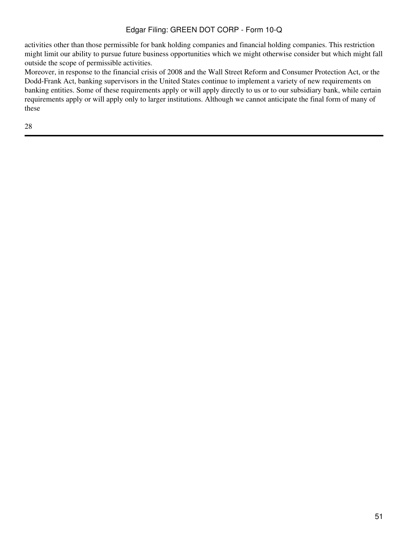activities other than those permissible for bank holding companies and financial holding companies. This restriction might limit our ability to pursue future business opportunities which we might otherwise consider but which might fall outside the scope of permissible activities.

Moreover, in response to the financial crisis of 2008 and the Wall Street Reform and Consumer Protection Act, or the Dodd-Frank Act, banking supervisors in the United States continue to implement a variety of new requirements on banking entities. Some of these requirements apply or will apply directly to us or to our subsidiary bank, while certain requirements apply or will apply only to larger institutions. Although we cannot anticipate the final form of many of these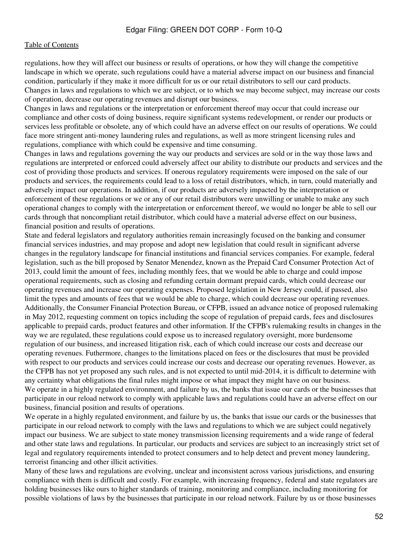regulations, how they will affect our business or results of operations, or how they will change the competitive landscape in which we operate, such regulations could have a material adverse impact on our business and financial condition, particularly if they make it more difficult for us or our retail distributors to sell our card products. Changes in laws and regulations to which we are subject, or to which we may become subject, may increase our costs of operation, decrease our operating revenues and disrupt our business.

Changes in laws and regulations or the interpretation or enforcement thereof may occur that could increase our compliance and other costs of doing business, require significant systems redevelopment, or render our products or services less profitable or obsolete, any of which could have an adverse effect on our results of operations. We could face more stringent anti-money laundering rules and regulations, as well as more stringent licensing rules and regulations, compliance with which could be expensive and time consuming.

Changes in laws and regulations governing the way our products and services are sold or in the way those laws and regulations are interpreted or enforced could adversely affect our ability to distribute our products and services and the cost of providing those products and services. If onerous regulatory requirements were imposed on the sale of our products and services, the requirements could lead to a loss of retail distributors, which, in turn, could materially and adversely impact our operations. In addition, if our products are adversely impacted by the interpretation or enforcement of these regulations or we or any of our retail distributors were unwilling or unable to make any such operational changes to comply with the interpretation or enforcement thereof, we would no longer be able to sell our cards through that noncompliant retail distributor, which could have a material adverse effect on our business, financial position and results of operations.

State and federal legislators and regulatory authorities remain increasingly focused on the banking and consumer financial services industries, and may propose and adopt new legislation that could result in significant adverse changes in the regulatory landscape for financial institutions and financial services companies. For example, federal legislation, such as the bill proposed by Senator Menendez, known as the Prepaid Card Consumer Protection Act of 2013, could limit the amount of fees, including monthly fees, that we would be able to charge and could impose operational requirements, such as closing and refunding certain dormant prepaid cards, which could decrease our operating revenues and increase our operating expenses. Proposed legislation in New Jersey could, if passed, also limit the types and amounts of fees that we would be able to charge, which could decrease our operating revenues. Additionally, the Consumer Financial Protection Bureau, or CFPB, issued an advance notice of proposed rulemaking in May 2012, requesting comment on topics including the scope of regulation of prepaid cards, fees and disclosures applicable to prepaid cards, product features and other information. If the CFPB's rulemaking results in changes in the way we are regulated, these regulations could expose us to increased regulatory oversight, more burdensome regulation of our business, and increased litigation risk, each of which could increase our costs and decrease our operating revenues. Futhermore, changes to the limitations placed on fees or the disclosures that must be provided with respect to our products and services could increase our costs and decrease our operating revenues. However, as the CFPB has not yet proposed any such rules, and is not expected to until mid-2014, it is difficult to determine with any certainty what obligations the final rules might impose or what impact they might have on our business. We operate in a highly regulated environment, and failure by us, the banks that issue our cards or the businesses that

participate in our reload network to comply with applicable laws and regulations could have an adverse effect on our business, financial position and results of operations.

We operate in a highly regulated environment, and failure by us, the banks that issue our cards or the businesses that participate in our reload network to comply with the laws and regulations to which we are subject could negatively impact our business. We are subject to state money transmission licensing requirements and a wide range of federal and other state laws and regulations. In particular, our products and services are subject to an increasingly strict set of legal and regulatory requirements intended to protect consumers and to help detect and prevent money laundering, terrorist financing and other illicit activities.

Many of these laws and regulations are evolving, unclear and inconsistent across various jurisdictions, and ensuring compliance with them is difficult and costly. For example, with increasing frequency, federal and state regulators are holding businesses like ours to higher standards of training, monitoring and compliance, including monitoring for possible violations of laws by the businesses that participate in our reload network. Failure by us or those businesses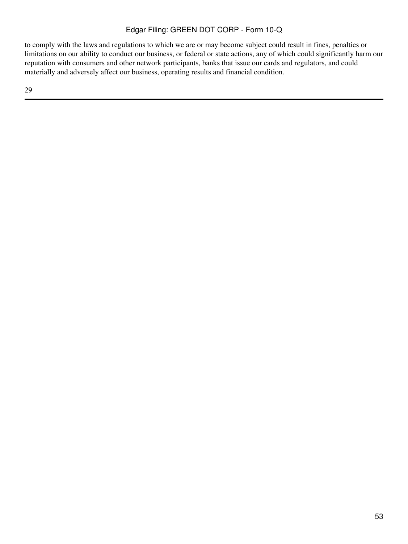to comply with the laws and regulations to which we are or may become subject could result in fines, penalties or limitations on our ability to conduct our business, or federal or state actions, any of which could significantly harm our reputation with consumers and other network participants, banks that issue our cards and regulators, and could materially and adversely affect our business, operating results and financial condition.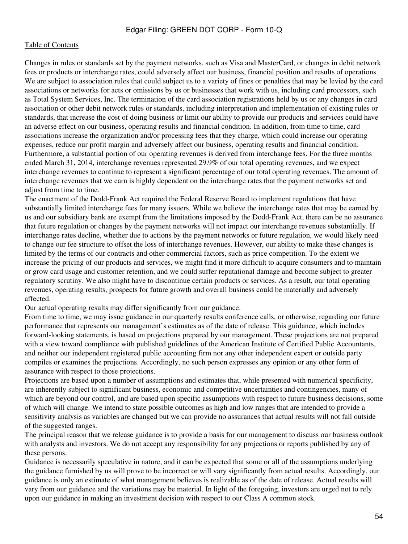Changes in rules or standards set by the payment networks, such as Visa and MasterCard, or changes in debit network fees or products or interchange rates, could adversely affect our business, financial position and results of operations. We are subject to association rules that could subject us to a variety of fines or penalties that may be levied by the card associations or networks for acts or omissions by us or businesses that work with us, including card processors, such as Total System Services, Inc. The termination of the card association registrations held by us or any changes in card association or other debit network rules or standards, including interpretation and implementation of existing rules or standards, that increase the cost of doing business or limit our ability to provide our products and services could have an adverse effect on our business, operating results and financial condition. In addition, from time to time, card associations increase the organization and/or processing fees that they charge, which could increase our operating expenses, reduce our profit margin and adversely affect our business, operating results and financial condition. Furthermore, a substantial portion of our operating revenues is derived from interchange fees. For the three months ended March 31, 2014, interchange revenues represented 29.9% of our total operating revenues, and we expect interchange revenues to continue to represent a significant percentage of our total operating revenues. The amount of interchange revenues that we earn is highly dependent on the interchange rates that the payment networks set and adjust from time to time.

The enactment of the Dodd-Frank Act required the Federal Reserve Board to implement regulations that have substantially limited interchange fees for many issuers. While we believe the interchange rates that may be earned by us and our subsidiary bank are exempt from the limitations imposed by the Dodd-Frank Act, there can be no assurance that future regulation or changes by the payment networks will not impact our interchange revenues substantially. If interchange rates decline, whether due to actions by the payment networks or future regulation, we would likely need to change our fee structure to offset the loss of interchange revenues. However, our ability to make these changes is limited by the terms of our contracts and other commercial factors, such as price competition. To the extent we increase the pricing of our products and services, we might find it more difficult to acquire consumers and to maintain or grow card usage and customer retention, and we could suffer reputational damage and become subject to greater regulatory scrutiny. We also might have to discontinue certain products or services. As a result, our total operating revenues, operating results, prospects for future growth and overall business could be materially and adversely affected.

Our actual operating results may differ significantly from our guidance.

From time to time, we may issue guidance in our quarterly results conference calls, or otherwise, regarding our future performance that represents our management's estimates as of the date of release. This guidance, which includes forward-looking statements, is based on projections prepared by our management. These projections are not prepared with a view toward compliance with published guidelines of the American Institute of Certified Public Accountants, and neither our independent registered public accounting firm nor any other independent expert or outside party compiles or examines the projections. Accordingly, no such person expresses any opinion or any other form of assurance with respect to those projections.

Projections are based upon a number of assumptions and estimates that, while presented with numerical specificity, are inherently subject to significant business, economic and competitive uncertainties and contingencies, many of which are beyond our control, and are based upon specific assumptions with respect to future business decisions, some of which will change. We intend to state possible outcomes as high and low ranges that are intended to provide a sensitivity analysis as variables are changed but we can provide no assurances that actual results will not fall outside of the suggested ranges.

The principal reason that we release guidance is to provide a basis for our management to discuss our business outlook with analysts and investors. We do not accept any responsibility for any projections or reports published by any of these persons.

Guidance is necessarily speculative in nature, and it can be expected that some or all of the assumptions underlying the guidance furnished by us will prove to be incorrect or will vary significantly from actual results. Accordingly, our guidance is only an estimate of what management believes is realizable as of the date of release. Actual results will vary from our guidance and the variations may be material. In light of the foregoing, investors are urged not to rely upon our guidance in making an investment decision with respect to our Class A common stock.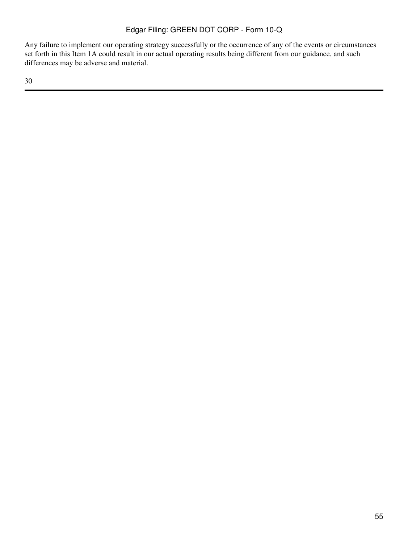Any failure to implement our operating strategy successfully or the occurrence of any of the events or circumstances set forth in this Item 1A could result in our actual operating results being different from our guidance, and such differences may be adverse and material.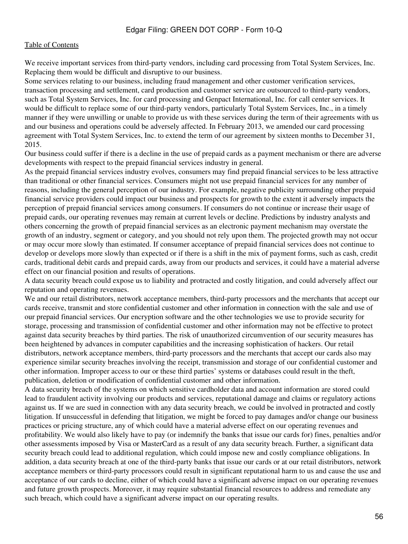We receive important services from third-party vendors, including card processing from Total System Services, Inc. Replacing them would be difficult and disruptive to our business.

Some services relating to our business, including fraud management and other customer verification services, transaction processing and settlement, card production and customer service are outsourced to third-party vendors, such as Total System Services, Inc. for card processing and Genpact International, Inc. for call center services. It would be difficult to replace some of our third-party vendors, particularly Total System Services, Inc., in a timely manner if they were unwilling or unable to provide us with these services during the term of their agreements with us and our business and operations could be adversely affected. In February 2013, we amended our card processing agreement with Total System Services, Inc. to extend the term of our agreement by sixteen months to December 31, 2015.

Our business could suffer if there is a decline in the use of prepaid cards as a payment mechanism or there are adverse developments with respect to the prepaid financial services industry in general.

As the prepaid financial services industry evolves, consumers may find prepaid financial services to be less attractive than traditional or other financial services. Consumers might not use prepaid financial services for any number of reasons, including the general perception of our industry. For example, negative publicity surrounding other prepaid financial service providers could impact our business and prospects for growth to the extent it adversely impacts the perception of prepaid financial services among consumers. If consumers do not continue or increase their usage of prepaid cards, our operating revenues may remain at current levels or decline. Predictions by industry analysts and others concerning the growth of prepaid financial services as an electronic payment mechanism may overstate the growth of an industry, segment or category, and you should not rely upon them. The projected growth may not occur or may occur more slowly than estimated. If consumer acceptance of prepaid financial services does not continue to develop or develops more slowly than expected or if there is a shift in the mix of payment forms, such as cash, credit cards, traditional debit cards and prepaid cards, away from our products and services, it could have a material adverse effect on our financial position and results of operations.

A data security breach could expose us to liability and protracted and costly litigation, and could adversely affect our reputation and operating revenues.

We and our retail distributors, network acceptance members, third-party processors and the merchants that accept our cards receive, transmit and store confidential customer and other information in connection with the sale and use of our prepaid financial services. Our encryption software and the other technologies we use to provide security for storage, processing and transmission of confidential customer and other information may not be effective to protect against data security breaches by third parties. The risk of unauthorized circumvention of our security measures has been heightened by advances in computer capabilities and the increasing sophistication of hackers. Our retail distributors, network acceptance members, third-party processors and the merchants that accept our cards also may experience similar security breaches involving the receipt, transmission and storage of our confidential customer and other information. Improper access to our or these third parties' systems or databases could result in the theft, publication, deletion or modification of confidential customer and other information.

A data security breach of the systems on which sensitive cardholder data and account information are stored could lead to fraudulent activity involving our products and services, reputational damage and claims or regulatory actions against us. If we are sued in connection with any data security breach, we could be involved in protracted and costly litigation. If unsuccessful in defending that litigation, we might be forced to pay damages and/or change our business practices or pricing structure, any of which could have a material adverse effect on our operating revenues and profitability. We would also likely have to pay (or indemnify the banks that issue our cards for) fines, penalties and/or other assessments imposed by Visa or MasterCard as a result of any data security breach. Further, a significant data security breach could lead to additional regulation, which could impose new and costly compliance obligations. In addition, a data security breach at one of the third-party banks that issue our cards or at our retail distributors, network acceptance members or third-party processors could result in significant reputational harm to us and cause the use and acceptance of our cards to decline, either of which could have a significant adverse impact on our operating revenues and future growth prospects. Moreover, it may require substantial financial resources to address and remediate any such breach, which could have a significant adverse impact on our operating results.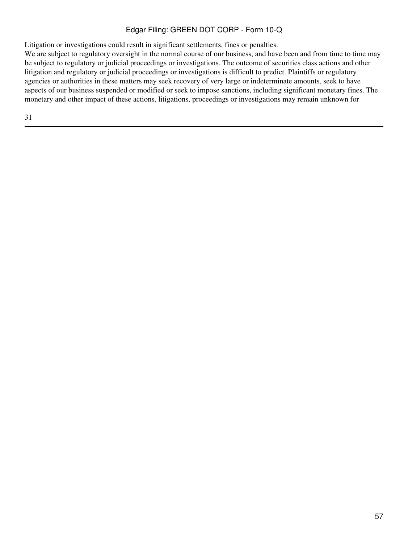Litigation or investigations could result in significant settlements, fines or penalties.

We are subject to regulatory oversight in the normal course of our business, and have been and from time to time may be subject to regulatory or judicial proceedings or investigations. The outcome of securities class actions and other litigation and regulatory or judicial proceedings or investigations is difficult to predict. Plaintiffs or regulatory agencies or authorities in these matters may seek recovery of very large or indeterminate amounts, seek to have aspects of our business suspended or modified or seek to impose sanctions, including significant monetary fines. The monetary and other impact of these actions, litigations, proceedings or investigations may remain unknown for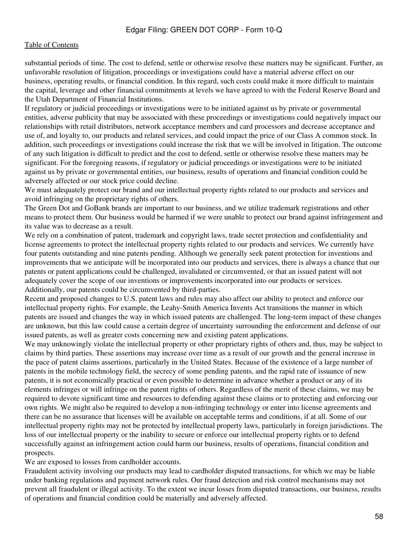substantial periods of time. The cost to defend, settle or otherwise resolve these matters may be significant. Further, an unfavorable resolution of litigation, proceedings or investigations could have a material adverse effect on our business, operating results, or financial condition. In this regard, such costs could make it more difficult to maintain the capital, leverage and other financial commitments at levels we have agreed to with the Federal Reserve Board and the Utah Department of Financial Institutions.

If regulatory or judicial proceedings or investigations were to be initiated against us by private or governmental entities, adverse publicity that may be associated with these proceedings or investigations could negatively impact our relationships with retail distributors, network acceptance members and card processors and decrease acceptance and use of, and loyalty to, our products and related services, and could impact the price of our Class A common stock. In addition, such proceedings or investigations could increase the risk that we will be involved in litigation. The outcome of any such litigation is difficult to predict and the cost to defend, settle or otherwise resolve these matters may be significant. For the foregoing reasons, if regulatory or judicial proceedings or investigations were to be initiated against us by private or governmental entities, our business, results of operations and financial condition could be adversely affected or our stock price could decline.

We must adequately protect our brand and our intellectual property rights related to our products and services and avoid infringing on the proprietary rights of others.

The Green Dot and GoBank brands are important to our business, and we utilize trademark registrations and other means to protect them. Our business would be harmed if we were unable to protect our brand against infringement and its value was to decrease as a result.

We rely on a combination of patent, trademark and copyright laws, trade secret protection and confidentiality and license agreements to protect the intellectual property rights related to our products and services. We currently have four patents outstanding and nine patents pending. Although we generally seek patent protection for inventions and improvements that we anticipate will be incorporated into our products and services, there is always a chance that our patents or patent applications could be challenged, invalidated or circumvented, or that an issued patent will not adequately cover the scope of our inventions or improvements incorporated into our products or services. Additionally, our patents could be circumvented by third-parties.

Recent and proposed changes to U.S. patent laws and rules may also affect our ability to protect and enforce our intellectual property rights. For example, the Leahy-Smith America Invents Act transitions the manner in which patents are issued and changes the way in which issued patents are challenged. The long-term impact of these changes are unknown, but this law could cause a certain degree of uncertainty surrounding the enforcement and defense of our issued patents, as well as greater costs concerning new and existing patent applications.

We may unknowingly violate the intellectual property or other proprietary rights of others and, thus, may be subject to claims by third parties. These assertions may increase over time as a result of our growth and the general increase in the pace of patent claims assertions, particularly in the United States. Because of the existence of a large number of patents in the mobile technology field, the secrecy of some pending patents, and the rapid rate of issuance of new patents, it is not economically practical or even possible to determine in advance whether a product or any of its elements infringes or will infringe on the patent rights of others. Regardless of the merit of these claims, we may be required to devote significant time and resources to defending against these claims or to protecting and enforcing our own rights. We might also be required to develop a non-infringing technology or enter into license agreements and there can be no assurance that licenses will be available on acceptable terms and conditions, if at all. Some of our intellectual property rights may not be protected by intellectual property laws, particularly in foreign jurisdictions. The loss of our intellectual property or the inability to secure or enforce our intellectual property rights or to defend successfully against an infringement action could harm our business, results of operations, financial condition and prospects.

We are exposed to losses from cardholder accounts.

Fraudulent activity involving our products may lead to cardholder disputed transactions, for which we may be liable under banking regulations and payment network rules. Our fraud detection and risk control mechanisms may not prevent all fraudulent or illegal activity. To the extent we incur losses from disputed transactions, our business, results of operations and financial condition could be materially and adversely affected.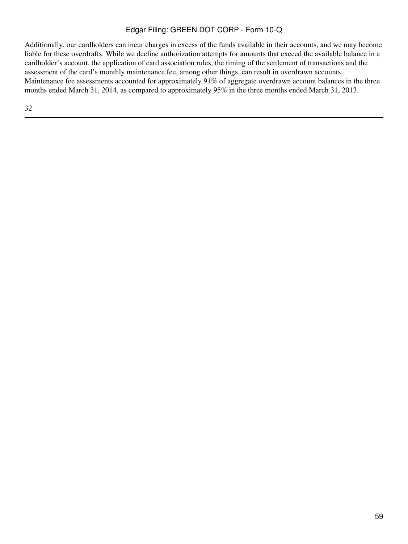Additionally, our cardholders can incur charges in excess of the funds available in their accounts, and we may become liable for these overdrafts. While we decline authorization attempts for amounts that exceed the available balance in a cardholder's account, the application of card association rules, the timing of the settlement of transactions and the assessment of the card's monthly maintenance fee, among other things, can result in overdrawn accounts. Maintenance fee assessments accounted for approximately 91% of aggregate overdrawn account balances in the three months ended March 31, 2014, as compared to approximately 95% in the three months ended March 31, 2013.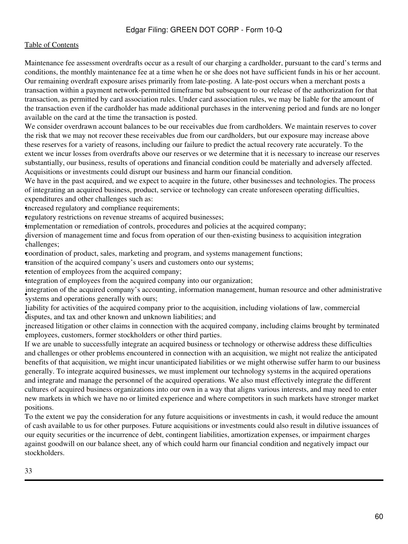#### [Table of Contents](#page-2-0)

Maintenance fee assessment overdrafts occur as a result of our charging a cardholder, pursuant to the card's terms and conditions, the monthly maintenance fee at a time when he or she does not have sufficient funds in his or her account. Our remaining overdraft exposure arises primarily from late-posting. A late-post occurs when a merchant posts a transaction within a payment network-permitted timeframe but subsequent to our release of the authorization for that transaction, as permitted by card association rules. Under card association rules, we may be liable for the amount of the transaction even if the cardholder has made additional purchases in the intervening period and funds are no longer available on the card at the time the transaction is posted.

We consider overdrawn account balances to be our receivables due from cardholders. We maintain reserves to cover the risk that we may not recover these receivables due from our cardholders, but our exposure may increase above these reserves for a variety of reasons, including our failure to predict the actual recovery rate accurately. To the extent we incur losses from overdrafts above our reserves or we determine that it is necessary to increase our reserves substantially, our business, results of operations and financial condition could be materially and adversely affected. Acquisitions or investments could disrupt our business and harm our financial condition.

We have in the past acquired, and we expect to acquire in the future, other businesses and technologies. The process of integrating an acquired business, product, service or technology can create unforeseen operating difficulties, expenditures and other challenges such as:

increased regulatory and compliance requirements;

•regulatory restrictions on revenue streams of acquired businesses;

•implementation or remediation of controls, procedures and policies at the acquired company;

• challenges; diversion of management time and focus from operation of our then-existing business to acquisition integration

•coordination of product, sales, marketing and program, and systems management functions;

•transition of the acquired company's users and customers onto our systems;

retention of employees from the acquired company;

•integration of employees from the acquired company into our organization;

systems and operations generally with ours; integration of the acquired company's accounting, information management, human resource and other administrative

• disputes, and tax and other known and unknown liabilities; and liability for activities of the acquired company prior to the acquisition, including violations of law, commercial

**Exercised inguitor or other claims in connection with the acquired employees, customers, former stockholders or other third parties.** increased litigation or other claims in connection with the acquired company, including claims brought by terminated

If we are unable to successfully integrate an acquired business or technology or otherwise address these difficulties and challenges or other problems encountered in connection with an acquisition, we might not realize the anticipated benefits of that acquisition, we might incur unanticipated liabilities or we might otherwise suffer harm to our business generally. To integrate acquired businesses, we must implement our technology systems in the acquired operations and integrate and manage the personnel of the acquired operations. We also must effectively integrate the different cultures of acquired business organizations into our own in a way that aligns various interests, and may need to enter new markets in which we have no or limited experience and where competitors in such markets have stronger market positions.

To the extent we pay the consideration for any future acquisitions or investments in cash, it would reduce the amount of cash available to us for other purposes. Future acquisitions or investments could also result in dilutive issuances of our equity securities or the incurrence of debt, contingent liabilities, amortization expenses, or impairment charges against goodwill on our balance sheet, any of which could harm our financial condition and negatively impact our stockholders.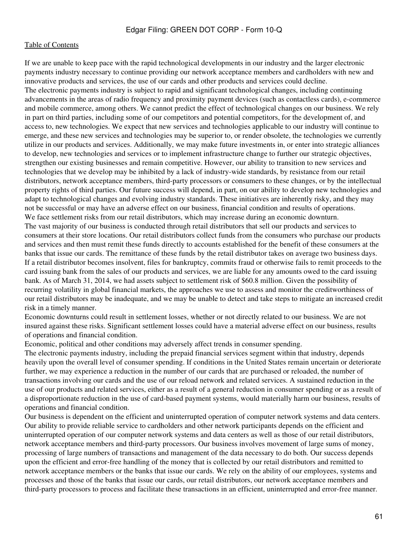If we are unable to keep pace with the rapid technological developments in our industry and the larger electronic payments industry necessary to continue providing our network acceptance members and cardholders with new and innovative products and services, the use of our cards and other products and services could decline. The electronic payments industry is subject to rapid and significant technological changes, including continuing advancements in the areas of radio frequency and proximity payment devices (such as contactless cards), e-commerce and mobile commerce, among others. We cannot predict the effect of technological changes on our business. We rely in part on third parties, including some of our competitors and potential competitors, for the development of, and access to, new technologies. We expect that new services and technologies applicable to our industry will continue to emerge, and these new services and technologies may be superior to, or render obsolete, the technologies we currently utilize in our products and services. Additionally, we may make future investments in, or enter into strategic alliances to develop, new technologies and services or to implement infrastructure change to further our strategic objectives, strengthen our existing businesses and remain competitive. However, our ability to transition to new services and technologies that we develop may be inhibited by a lack of industry-wide standards, by resistance from our retail distributors, network acceptance members, third-party processors or consumers to these changes, or by the intellectual property rights of third parties. Our future success will depend, in part, on our ability to develop new technologies and adapt to technological changes and evolving industry standards. These initiatives are inherently risky, and they may not be successful or may have an adverse effect on our business, financial condition and results of operations. We face settlement risks from our retail distributors, which may increase during an economic downturn. The vast majority of our business is conducted through retail distributors that sell our products and services to consumers at their store locations. Our retail distributors collect funds from the consumers who purchase our products and services and then must remit these funds directly to accounts established for the benefit of these consumers at the banks that issue our cards. The remittance of these funds by the retail distributor takes on average two business days. If a retail distributor becomes insolvent, files for bankruptcy, commits fraud or otherwise fails to remit proceeds to the card issuing bank from the sales of our products and services, we are liable for any amounts owed to the card issuing bank. As of March 31, 2014, we had assets subject to settlement risk of \$60.8 million. Given the possibility of recurring volatility in global financial markets, the approaches we use to assess and monitor the creditworthiness of our retail distributors may be inadequate, and we may be unable to detect and take steps to mitigate an increased credit risk in a timely manner.

Economic downturns could result in settlement losses, whether or not directly related to our business. We are not insured against these risks. Significant settlement losses could have a material adverse effect on our business, results of operations and financial condition.

Economic, political and other conditions may adversely affect trends in consumer spending.

The electronic payments industry, including the prepaid financial services segment within that industry, depends heavily upon the overall level of consumer spending. If conditions in the United States remain uncertain or deteriorate further, we may experience a reduction in the number of our cards that are purchased or reloaded, the number of transactions involving our cards and the use of our reload network and related services. A sustained reduction in the use of our products and related services, either as a result of a general reduction in consumer spending or as a result of a disproportionate reduction in the use of card-based payment systems, would materially harm our business, results of operations and financial condition.

Our business is dependent on the efficient and uninterrupted operation of computer network systems and data centers. Our ability to provide reliable service to cardholders and other network participants depends on the efficient and uninterrupted operation of our computer network systems and data centers as well as those of our retail distributors, network acceptance members and third-party processors. Our business involves movement of large sums of money, processing of large numbers of transactions and management of the data necessary to do both. Our success depends upon the efficient and error-free handling of the money that is collected by our retail distributors and remitted to network acceptance members or the banks that issue our cards. We rely on the ability of our employees, systems and processes and those of the banks that issue our cards, our retail distributors, our network acceptance members and third-party processors to process and facilitate these transactions in an efficient, uninterrupted and error-free manner.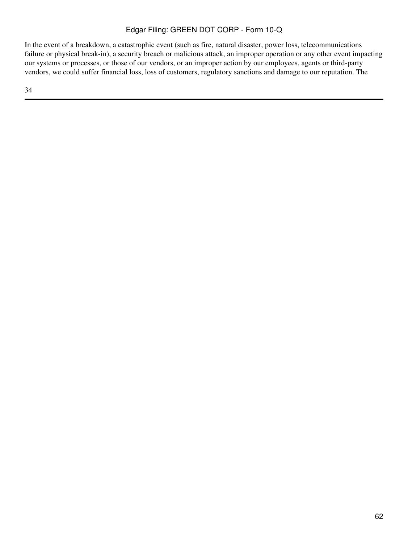In the event of a breakdown, a catastrophic event (such as fire, natural disaster, power loss, telecommunications failure or physical break-in), a security breach or malicious attack, an improper operation or any other event impacting our systems or processes, or those of our vendors, or an improper action by our employees, agents or third-party vendors, we could suffer financial loss, loss of customers, regulatory sanctions and damage to our reputation. The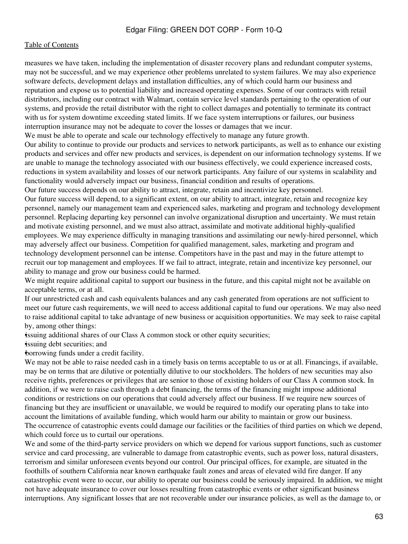measures we have taken, including the implementation of disaster recovery plans and redundant computer systems, may not be successful, and we may experience other problems unrelated to system failures. We may also experience software defects, development delays and installation difficulties, any of which could harm our business and reputation and expose us to potential liability and increased operating expenses. Some of our contracts with retail distributors, including our contract with Walmart, contain service level standards pertaining to the operation of our systems, and provide the retail distributor with the right to collect damages and potentially to terminate its contract with us for system downtime exceeding stated limits. If we face system interruptions or failures, our business interruption insurance may not be adequate to cover the losses or damages that we incur.

We must be able to operate and scale our technology effectively to manage any future growth.

Our ability to continue to provide our products and services to network participants, as well as to enhance our existing products and services and offer new products and services, is dependent on our information technology systems. If we are unable to manage the technology associated with our business effectively, we could experience increased costs, reductions in system availability and losses of our network participants. Any failure of our systems in scalability and functionality would adversely impact our business, financial condition and results of operations.

Our future success depends on our ability to attract, integrate, retain and incentivize key personnel. Our future success will depend, to a significant extent, on our ability to attract, integrate, retain and recognize key personnel, namely our management team and experienced sales, marketing and program and technology development personnel. Replacing departing key personnel can involve organizational disruption and uncertainty. We must retain and motivate existing personnel, and we must also attract, assimilate and motivate additional highly-qualified employees. We may experience difficulty in managing transitions and assimilating our newly-hired personnel, which may adversely affect our business. Competition for qualified management, sales, marketing and program and technology development personnel can be intense. Competitors have in the past and may in the future attempt to recruit our top management and employees. If we fail to attract, integrate, retain and incentivize key personnel, our ability to manage and grow our business could be harmed.

We might require additional capital to support our business in the future, and this capital might not be available on acceptable terms, or at all.

If our unrestricted cash and cash equivalents balances and any cash generated from operations are not sufficient to meet our future cash requirements, we will need to access additional capital to fund our operations. We may also need to raise additional capital to take advantage of new business or acquisition opportunities. We may seek to raise capital by, among other things:

•issuing additional shares of our Class A common stock or other equity securities;

•issuing debt securities; and

•borrowing funds under a credit facility.

We may not be able to raise needed cash in a timely basis on terms acceptable to us or at all. Financings, if available, may be on terms that are dilutive or potentially dilutive to our stockholders. The holders of new securities may also receive rights, preferences or privileges that are senior to those of existing holders of our Class A common stock. In addition, if we were to raise cash through a debt financing, the terms of the financing might impose additional conditions or restrictions on our operations that could adversely affect our business. If we require new sources of financing but they are insufficient or unavailable, we would be required to modify our operating plans to take into account the limitations of available funding, which would harm our ability to maintain or grow our business. The occurrence of catastrophic events could damage our facilities or the facilities of third parties on which we depend, which could force us to curtail our operations.

We and some of the third-party service providers on which we depend for various support functions, such as customer service and card processing, are vulnerable to damage from catastrophic events, such as power loss, natural disasters, terrorism and similar unforeseen events beyond our control. Our principal offices, for example, are situated in the foothills of southern California near known earthquake fault zones and areas of elevated wild fire danger. If any catastrophic event were to occur, our ability to operate our business could be seriously impaired. In addition, we might not have adequate insurance to cover our losses resulting from catastrophic events or other significant business interruptions. Any significant losses that are not recoverable under our insurance policies, as well as the damage to, or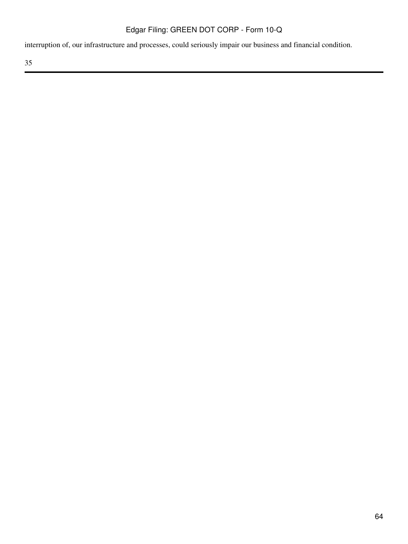interruption of, our infrastructure and processes, could seriously impair our business and financial condition.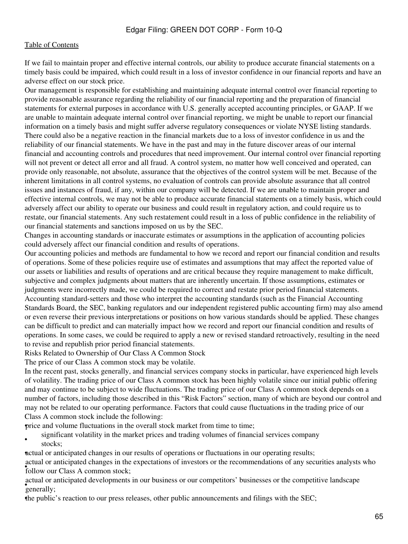If we fail to maintain proper and effective internal controls, our ability to produce accurate financial statements on a timely basis could be impaired, which could result in a loss of investor confidence in our financial reports and have an adverse effect on our stock price.

Our management is responsible for establishing and maintaining adequate internal control over financial reporting to provide reasonable assurance regarding the reliability of our financial reporting and the preparation of financial statements for external purposes in accordance with U.S. generally accepted accounting principles, or GAAP. If we are unable to maintain adequate internal control over financial reporting, we might be unable to report our financial information on a timely basis and might suffer adverse regulatory consequences or violate NYSE listing standards. There could also be a negative reaction in the financial markets due to a loss of investor confidence in us and the reliability of our financial statements. We have in the past and may in the future discover areas of our internal financial and accounting controls and procedures that need improvement. Our internal control over financial reporting will not prevent or detect all error and all fraud. A control system, no matter how well conceived and operated, can provide only reasonable, not absolute, assurance that the objectives of the control system will be met. Because of the inherent limitations in all control systems, no evaluation of controls can provide absolute assurance that all control issues and instances of fraud, if any, within our company will be detected. If we are unable to maintain proper and effective internal controls, we may not be able to produce accurate financial statements on a timely basis, which could adversely affect our ability to operate our business and could result in regulatory action, and could require us to restate, our financial statements. Any such restatement could result in a loss of public confidence in the reliability of our financial statements and sanctions imposed on us by the SEC.

Changes in accounting standards or inaccurate estimates or assumptions in the application of accounting policies could adversely affect our financial condition and results of operations.

Our accounting policies and methods are fundamental to how we record and report our financial condition and results of operations. Some of these policies require use of estimates and assumptions that may affect the reported value of our assets or liabilities and results of operations and are critical because they require management to make difficult, subjective and complex judgments about matters that are inherently uncertain. If those assumptions, estimates or judgments were incorrectly made, we could be required to correct and restate prior period financial statements. Accounting standard-setters and those who interpret the accounting standards (such as the Financial Accounting Standards Board, the SEC, banking regulators and our independent registered public accounting firm) may also amend or even reverse their previous interpretations or positions on how various standards should be applied. These changes can be difficult to predict and can materially impact how we record and report our financial condition and results of operations. In some cases, we could be required to apply a new or revised standard retroactively, resulting in the need to revise and republish prior period financial statements.

Risks Related to Ownership of Our Class A Common Stock

The price of our Class A common stock may be volatile.

In the recent past, stocks generally, and financial services company stocks in particular, have experienced high levels of volatility. The trading price of our Class A common stock has been highly volatile since our initial public offering and may continue to be subject to wide fluctuations. The trading price of our Class A common stock depends on a number of factors, including those described in this "Risk Factors" section, many of which are beyond our control and may not be related to our operating performance. Factors that could cause fluctuations in the trading price of our Class A common stock include the following:

•price and volume fluctuations in the overall stock market from time to time;

• significant volatility in the market prices and trading volumes of financial services company stocks:

•actual or anticipated changes in our results of operations or fluctuations in our operating results;

**Follow our Class A common stock;** actual or anticipated changes in the expectations of investors or the recommendations of any securities analysts who

setual of contract of contract of contract of contract of contract of contract of contract of contract of contract of contract of contract of contract of contract of contract of contract of contract of contract of contract actual or anticipated developments in our business or our competitors' businesses or the competitive landscape

•the public's reaction to our press releases, other public announcements and filings with the SEC;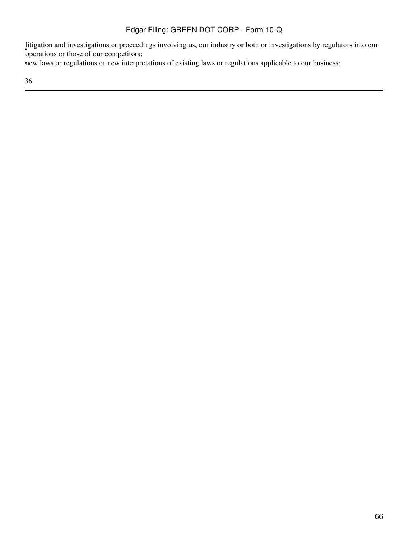*s* proceed operations or those of our competitors; litigation and investigations or proceedings involving us, our industry or both or investigations by regulators into our

•new laws or regulations or new interpretations of existing laws or regulations applicable to our business;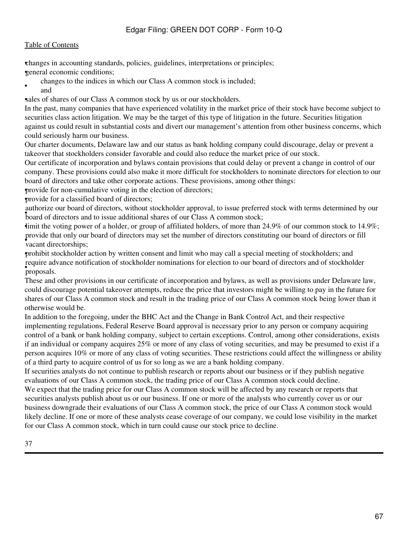### [Table of Contents](#page-2-0)

•changes in accounting standards, policies, guidelines, interpretations or principles;

•general economic conditions;

• changes to the indices in which our Class A common stock is included; and

sales of shares of our Class A common stock by us or our stockholders.

In the past, many companies that have experienced volatility in the market price of their stock have become subject to securities class action litigation. We may be the target of this type of litigation in the future. Securities litigation against us could result in substantial costs and divert our management's attention from other business concerns, which could seriously harm our business.

Our charter documents, Delaware law and our status as bank holding company could discourage, delay or prevent a takeover that stockholders consider favorable and could also reduce the market price of our stock.

Our certificate of incorporation and bylaws contain provisions that could delay or prevent a change in control of our company. These provisions could also make it more difficult for stockholders to nominate directors for election to our board of directors and take other corporate actions. These provisions, among other things:

•provide for non-cumulative voting in the election of directors;

•provide for a classified board of directors;

**EQUARTER COLLEGE OUT OCCUPATION** SUCCESS, WHILOUT SHOCKHOLLET APPROVAL, TO ISSUE PICIELLY authorize our board of directors, without stockholder approval, to issue preferred stock with terms determined by our

imit the voting power of a holder, or group of affiliated holders, of more than 24.9% of our common stock to 14.9%; • vacant directorships; provide that only our board of directors may set the number of directors constituting our board of directors or fill

•prohibit stockholder action by written consent and limit who may call a special meeting of stockholders; and • proposals. require advance notification of stockholder nominations for election to our board of directors and of stockholder

These and other provisions in our certificate of incorporation and bylaws, as well as provisions under Delaware law, could discourage potential takeover attempts, reduce the price that investors might be willing to pay in the future for shares of our Class A common stock and result in the trading price of our Class A common stock being lower than it otherwise would be.

In addition to the foregoing, under the BHC Act and the Change in Bank Control Act, and their respective implementing regulations, Federal Reserve Board approval is necessary prior to any person or company acquiring control of a bank or bank holding company, subject to certain exceptions. Control, among other considerations, exists if an individual or company acquires 25% or more of any class of voting securities, and may be presumed to exist if a person acquires 10% or more of any class of voting securities. These restrictions could affect the willingness or ability of a third party to acquire control of us for so long as we are a bank holding company.

If securities analysts do not continue to publish research or reports about our business or if they publish negative evaluations of our Class A common stock, the trading price of our Class A common stock could decline.

We expect that the trading price for our Class A common stock will be affected by any research or reports that securities analysts publish about us or our business. If one or more of the analysts who currently cover us or our business downgrade their evaluations of our Class A common stock, the price of our Class A common stock would likely decline. If one or more of these analysts cease coverage of our company, we could lose visibility in the market for our Class A common stock, which in turn could cause our stock price to decline.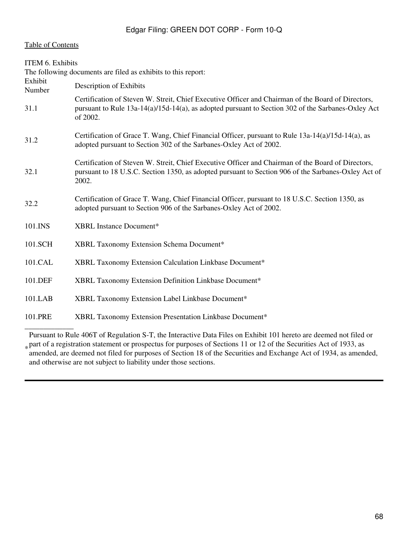<span id="page-67-0"></span>

| <b>ITEM 6. Exhibits</b> |                                                                                                                                                                                                                         |
|-------------------------|-------------------------------------------------------------------------------------------------------------------------------------------------------------------------------------------------------------------------|
|                         | The following documents are filed as exhibits to this report:                                                                                                                                                           |
| Exhibit<br>Number       | Description of Exhibits                                                                                                                                                                                                 |
| 31.1                    | Certification of Steven W. Streit, Chief Executive Officer and Chairman of the Board of Directors,<br>pursuant to Rule $13a-14(a)/15d-14(a)$ , as adopted pursuant to Section 302 of the Sarbanes-Oxley Act<br>of 2002. |
| 31.2                    | Certification of Grace T. Wang, Chief Financial Officer, pursuant to Rule 13a-14(a)/15d-14(a), as<br>adopted pursuant to Section 302 of the Sarbanes-Oxley Act of 2002.                                                 |
| 32.1                    | Certification of Steven W. Streit, Chief Executive Officer and Chairman of the Board of Directors,<br>pursuant to 18 U.S.C. Section 1350, as adopted pursuant to Section 906 of the Sarbanes-Oxley Act of<br>2002.      |
| 32.2                    | Certification of Grace T. Wang, Chief Financial Officer, pursuant to 18 U.S.C. Section 1350, as<br>adopted pursuant to Section 906 of the Sarbanes-Oxley Act of 2002.                                                   |
| 101.INS                 | XBRL Instance Document*                                                                                                                                                                                                 |
| 101.SCH                 | XBRL Taxonomy Extension Schema Document*                                                                                                                                                                                |
| 101.CAL                 | XBRL Taxonomy Extension Calculation Linkbase Document*                                                                                                                                                                  |
| 101.DEF                 | XBRL Taxonomy Extension Definition Linkbase Document*                                                                                                                                                                   |
| 101.LAB                 | XBRL Taxonomy Extension Label Linkbase Document*                                                                                                                                                                        |
| 101.PRE                 | XBRL Taxonomy Extension Presentation Linkbase Document*                                                                                                                                                                 |
|                         |                                                                                                                                                                                                                         |

\* part of a registration statement or prospectus for purposes of Sections 11 or 12 of the Securities Act of 1933, as<br>amended are deemed not filed for purposes of Section 18 of the Securities and Exchange Act of 1934, as am Pursuant to Rule 406T of Regulation S-T, the Interactive Data Files on Exhibit 101 hereto are deemed not filed or amended, are deemed not filed for purposes of Section 18 of the Securities and Exchange Act of 1934, as amended, and otherwise are not subject to liability under those sections.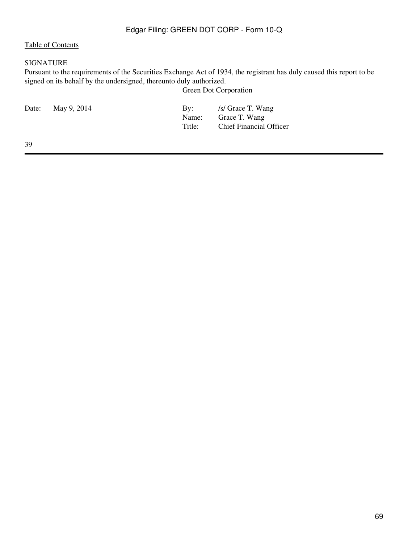### <span id="page-68-0"></span>SIGNATURE

Pursuant to the requirements of the Securities Exchange Act of 1934, the registrant has duly caused this report to be signed on its behalf by the undersigned, thereunto duly authorized.

Green Dot Corporation

| Date: May 9, 2014 | $\mathbf{By:}$<br>Title: | /s/ Grace T. Wang<br>Name: Grace T. Wang<br><b>Chief Financial Officer</b> |
|-------------------|--------------------------|----------------------------------------------------------------------------|
|                   |                          |                                                                            |